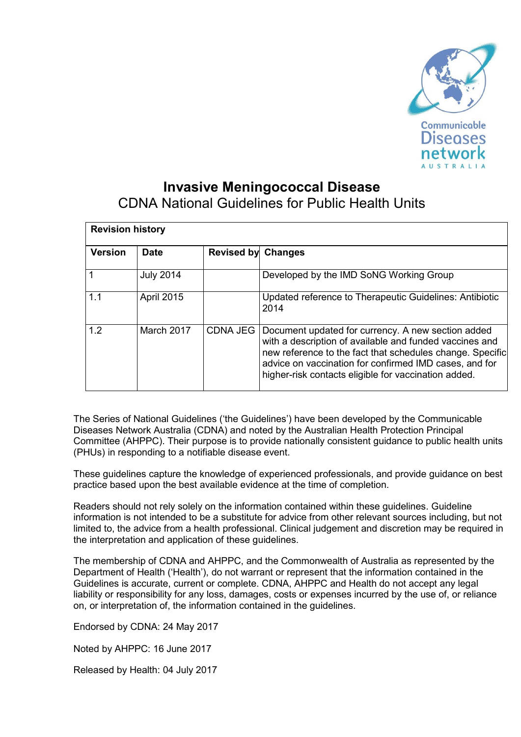

## **Invasive Meningococcal Disease** CDNA National Guidelines for Public Health Units

| <b>Revision history</b> |                  |                           |                                                                                                                                                                                                                                                                                              |  |  |
|-------------------------|------------------|---------------------------|----------------------------------------------------------------------------------------------------------------------------------------------------------------------------------------------------------------------------------------------------------------------------------------------|--|--|
| <b>Version</b>          | <b>Date</b>      | <b>Revised by Changes</b> |                                                                                                                                                                                                                                                                                              |  |  |
|                         | <b>July 2014</b> |                           | Developed by the IMD SoNG Working Group                                                                                                                                                                                                                                                      |  |  |
| 1.1                     | April 2015       |                           | Updated reference to Therapeutic Guidelines: Antibiotic<br>2014                                                                                                                                                                                                                              |  |  |
| 1.2                     | March 2017       | <b>CDNA JEG</b>           | Document updated for currency. A new section added<br>with a description of available and funded vaccines and<br>new reference to the fact that schedules change. Specific<br>advice on vaccination for confirmed IMD cases, and for<br>higher-risk contacts eligible for vaccination added. |  |  |

The Series of National Guidelines ('the Guidelines') have been developed by the Communicable Diseases Network Australia (CDNA) and noted by the Australian Health Protection Principal Committee (AHPPC). Their purpose is to provide nationally consistent guidance to public health units (PHUs) in responding to a notifiable disease event.

These guidelines capture the knowledge of experienced professionals, and provide guidance on best practice based upon the best available evidence at the time of completion.

Readers should not rely solely on the information contained within these guidelines. Guideline information is not intended to be a substitute for advice from other relevant sources including, but not limited to, the advice from a health professional. Clinical judgement and discretion may be required in the interpretation and application of these guidelines.

The membership of CDNA and AHPPC, and the Commonwealth of Australia as represented by the Department of Health ('Health'), do not warrant or represent that the information contained in the Guidelines is accurate, current or complete. CDNA, AHPPC and Health do not accept any legal liability or responsibility for any loss, damages, costs or expenses incurred by the use of, or reliance on, or interpretation of, the information contained in the guidelines.

Endorsed by CDNA: 24 May 2017

Noted by AHPPC: 16 June 2017

Released by Health: 04 July 2017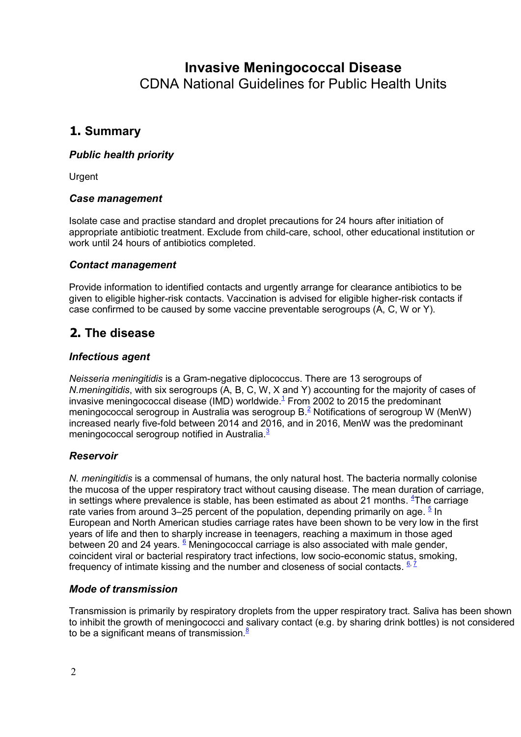# **Invasive Meningococcal Disease**

CDNA National Guidelines for Public Health Units

## **1. Summary**

## *Public health priority*

Urgent

## *Case management*

Isolate case and practise standard and droplet precautions for 24 hours after initiation of appropriate antibiotic treatment. Exclude from child-care, school, other educational institution or work until 24 hours of antibiotics completed.

## *Contact management*

Provide information to identified contacts and urgently arrange for clearance antibiotics to be given to eligible higher-risk contacts. Vaccination is advised for eligible higher-risk contacts if case confirmed to be caused by some vaccine preventable serogroups (A, C, W or Y).

## **2. The disease**

## *Infectious agent*

*Neisseria meningitidis* is a Gram-negative diplococcus. There are 13 serogroups of *N.meningitidis*, with six serogroups (A, B, C, W, X and Y) accounting for the majority of cases of invasive meningococcal disease (IMD) worldwide[.](#page-20-0)<sup>1</sup> From 2002 to 2015 the predominant meningococcal serogroup in Australia was serogroup  $B^2$  $B^2$  Notifications of serogroup W (MenW) increased nearly five-fold between 2014 and 2016, and in 2016, MenW was the predominant meningococcal serogroup notified in Australia.<sup>[3](#page-20-2)</sup>

## *Reservoir*

*N. meningitidis* is a commensal of humans, the only natural host. The bacteria normally colonise the mucosa of the upper respiratory tract without causing disease. The mean duration of carriage, in settings where prevalence is stable, has been estimated as about 21 months. <sup>[4](#page-20-3)</sup>The carriage rate varies from around 3–2[5](#page-20-4) percent of the population, depending primarily on age.  $5$  In European and North American studies carriage rates have been shown to be very low in the first years of life and then to sharply increase in teenagers, reaching a maximum in those aged between 20 and 24 years. <sup>[6](#page-20-5)</sup> Meningococcal carriage is also associated with male gender, coincident viral or bacterial respiratory tract infections, low socio-economic status, smoking, frequency of intimate kissing and the number and closeness of social contacts.  $6.7$ 

## *Mode of transmission*

Transmission is primarily by respiratory droplets from the upper respiratory tract. Saliva has been shown to inhibit the growth of meningococci and salivary contact (e.g. by sharing drink bottles) is not considered to be a significant means of transmission.<sup>[8](#page-20-7)</sup>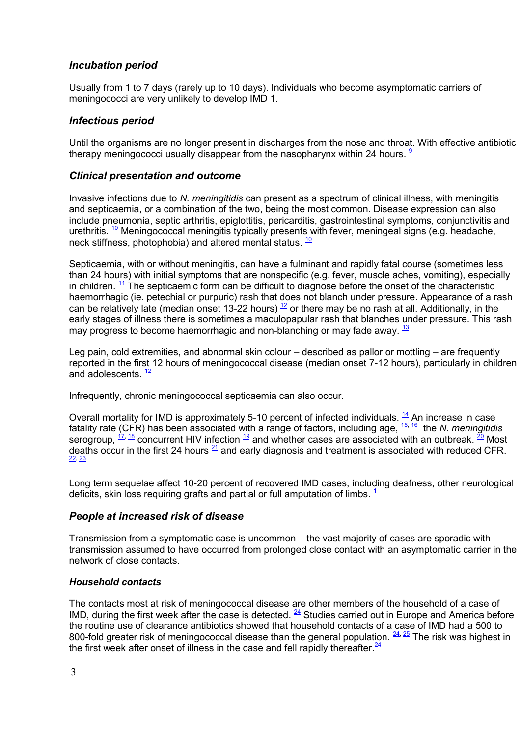## *Incubation period*

Usually from 1 to 7 days (rarely up to 10 days). Individuals who become asymptomatic carriers of meningococci are very unlikely to develop IMD [1.](#page-20-0)

## *Infectious period*

Until the organisms are no longer present in discharges from the nose and throat. With effective antibiotic therapy meningococci usually disappear from the nasopharynx within 24 hours. <sup>[9](#page-20-8)</sup>

## *Clinical presentation and outcome*

Invasive infections due to *N. meningitidis* can present as a spectrum of clinical illness, with meningitis and septicaemia, or a combination of the two, being the most common. Disease expression can also include pneumonia, septic arthritis, epiglottitis, pericarditis, gastrointestinal symptoms, conjunctivitis and urethritis. <sup>[10](#page-20-9)</sup> Meningococcal meningitis typically presents with fever, meningeal signs (e.g. headache, neck stiffness, photophobia) and altered mental status. <sup>[10](#page-20-9)</sup>

Septicaemia, with or without meningitis, can have a fulminant and rapidly fatal course (sometimes less than 24 hours) with initial symptoms that are nonspecific (e.g. fever, muscle aches, vomiting), especially in children. <sup>[11](#page-20-10)</sup> The septicaemic form can be difficult to diagnose before the onset of the characteristic haemorrhagic (ie. petechial or purpuric) rash that does not blanch under pressure. Appearance of a rash can be relatively late (median onset 13-22 hours)  $12$  or there may be no rash at all. Additionally, in the early stages of illness there is sometimes a maculopapular rash that blanches under pressure. This rash may progress to become haemorrhagic and non-blanching or may fade away.  $^{13}$  $^{13}$  $^{13}$ 

Leg pain, cold extremities, and abnormal skin colour – described as pallor or mottling – are frequently reported in the first 12 hours of meningococcal disease (median onset 7-12 hours), particularly in children and adolescents.  $\frac{12}{1}$  $\frac{12}{1}$  $\frac{12}{1}$ 

Infrequently, chronic meningococcal septicaemia can also occur.

Overall mortality for IMD is approximately 5-10 percent of infected individuals. <sup>[14](#page-20-13)</sup> An increase in case fatality rate (CFR) has been associated with a range of factors, including age, [15,](#page-20-14) [16](#page-20-15) the *N. meningitidis* serogroup,  $\frac{17}{18}$  concurrent HIV infection  $\frac{19}{2}$  $\frac{19}{2}$  $\frac{19}{2}$  and whether cases are associated with an outbreak.  $\frac{20}{2}$  $\frac{20}{2}$  $\frac{20}{2}$  Most deaths occur in the first 24 hours  $\frac{21}{2}$  $\frac{21}{2}$  $\frac{21}{2}$  and early diagnosis and treatment is associated with reduced CFR. <u>[22,](#page-21-1) [23](#page-21-2)</u>

Long term sequelae affect 10-20 percent of recovered IMD cases, including deafness, other neurological deficits, skin loss requiring grafts and partial or full amputation of limbs. <sup>[1](#page-20-0)</sup>

## *People at increased risk of disease*

Transmission from a symptomatic case is uncommon – the vast majority of cases are sporadic with transmission assumed to have occurred from prolonged close contact with an asymptomatic carrier in the network of close contacts.

## *Household contacts*

The contacts most at risk of meningococcal disease are other members of the household of a case of IMD, during the first week after the case is detected.  $\frac{24}{5}$  $\frac{24}{5}$  $\frac{24}{5}$  Studies carried out in Europe and America before the routine use of clearance antibiotics showed that household contacts of a case of IMD had a 500 to 800-fold greater risk of meningococcal disease than the general population. <sup>[24,](#page-21-3) [25](#page-21-4)</sup> The risk was highest in the first week after onset of illness in the case and fell rapidly thereafter.  $\frac{24}{3}$  $\frac{24}{3}$  $\frac{24}{3}$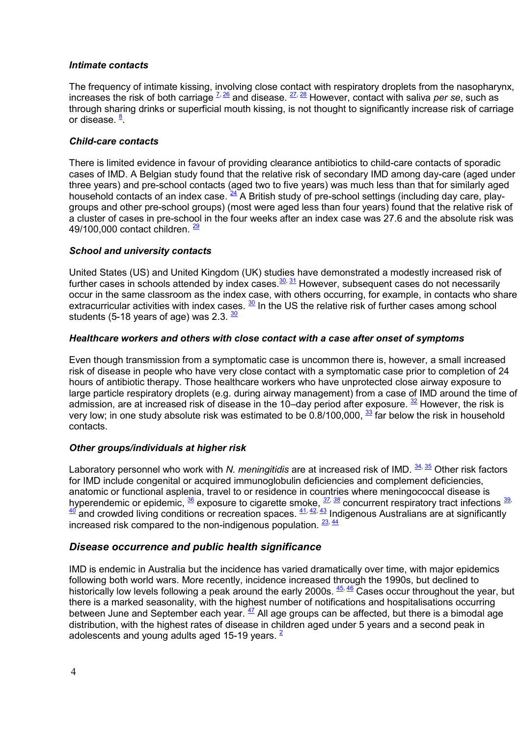#### *Intimate contacts*

The frequency of intimate kissing, involving close contact with respiratory droplets from the nasopharynx, increases the risk of both carriage <sup>Z, 26</sup> and disease. <sup>2[7,](#page-20-6) [28](#page-21-7)</sup> However, contact with saliva *per se*, such as through sharing drinks or superficial mouth kissing, is not thought to significantly increase risk of carriage or disease[.](#page-20-7) <sup>8</sup>.

#### *Child-care contacts*

There is limited evidence in favour of providing clearance antibiotics to child-care contacts of sporadic cases of IMD. A Belgian study found that the relative risk of secondary IMD among day-care (aged under three years) and pre-school contacts (aged two to five years) was much less than that for similarly aged household contacts of an index case. <sup>[24](#page-21-3)</sup> A British study of pre-school settings (including day care, playgroups and other pre-school groups) (most were aged less than four years) found that the relative risk of a cluster of cases in pre-school in the four weeks after an index case was 27.6 and the absolute risk was 49/100,000 contact children. <sup>[29](#page-21-8)</sup>

#### *School and university contacts*

United States (US) and United Kingdom (UK) studies have demonstrated a modestly increased risk of further cases in schools attended by index cases.<sup>[30,](#page-21-9) [31](#page-21-10)</sup> However, subsequent cases do not necessarily occur in the same classroom as the index case, with others occurring, for example, in contacts who share extracurricular activities with index cases.  $\frac{30}{2}$  $\frac{30}{2}$  $\frac{30}{2}$  In the US the relative risk of further cases among school students (5-18 years of age) was 2.3.  $\frac{30}{20}$  $\frac{30}{20}$  $\frac{30}{20}$ 

#### *Healthcare workers and others with close contact with a case after onset of symptoms*

Even though transmission from a symptomatic case is uncommon there is, however, a small increased risk of disease in people who have very close contact with a symptomatic case prior to completion of 24 hours of antibiotic therapy. Those healthcare workers who have unprotected close airway exposure to large particle respiratory droplets (e.g. during airway management) from a case of IMD around the time of admission, are at increased risk of disease in the 10–day period after exposure. <sup>[32](#page-21-11)</sup> However, the risk is very low; in one study absolute risk was estimated to be 0.8/100,000,  $\frac{33}{2}$  $\frac{33}{2}$  $\frac{33}{2}$  far below the risk in household contacts.

#### *Other groups/individuals at higher risk*

Laboratory personnel who work with *N. meningitidis* are at increased risk of IMD.  $\frac{34}{35}$  Other risk factors for IMD include congenital or acquired immunoglobulin deficiencies and complement deficiencies, anatomic or functional asplenia, travel to or residence in countries where meningococcal disease is hyperendemic or epidemic, <sup>[36](#page-21-15)</sup> exposure to cigarette smoke, <sup>[37,](#page-21-16) [38](#page-21-17)</sup> concurrent respiratory tract infections <sup>39,</sup>  $\frac{40}{2}$  $\frac{40}{2}$  $\frac{40}{2}$  and crowded living conditions or recreation spaces.  $\frac{41}{2}$ ,  $\frac{42}{2}$  Indigenous Australians are at significantly increased risk compared to the non-indigenous population. <sup>[23,](#page-21-2) [44](#page-22-4)</sup>

#### *Disease occurrence and public health significance*

IMD is endemic in Australia but the incidence has varied dramatically over time, with major epidemics following both world wars. More recently, incidence increased through the 1990s, but declined to historically low levels following a peak around the early 2000s.  $\frac{45}{10}$  Cases occur throughout the year, but there is a marked seasonality, with the highest number of notifications and hospitalisations occurring between June and September each year.  $\frac{47}{2}$  $\frac{47}{2}$  $\frac{47}{2}$  All age groups can be affected, but there is a bimodal age distribution, with the highest rates of disease in children aged under 5 years and a second peak in adolescents and young adults aged 15-19 years.  $2$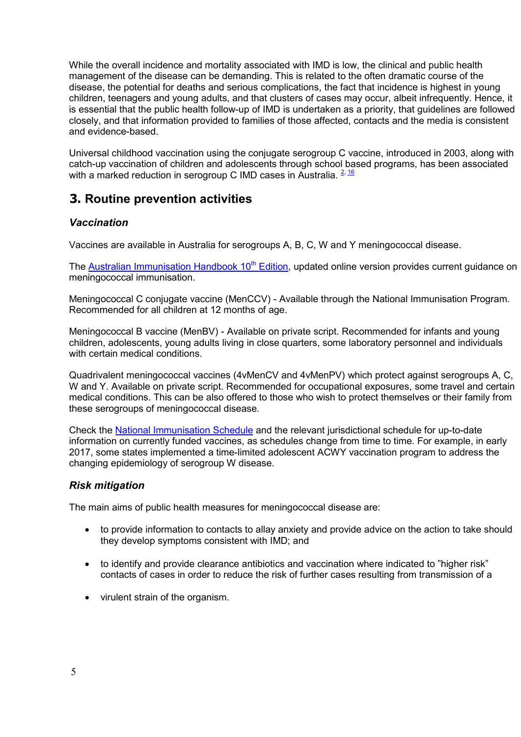While the overall incidence and mortality associated with IMD is low, the clinical and public health management of the disease can be demanding. This is related to the often dramatic course of the disease, the potential for deaths and serious complications, the fact that incidence is highest in young children, teenagers and young adults, and that clusters of cases may occur, albeit infrequently. Hence, it is essential that the public health follow-up of IMD is undertaken as a priority, that guidelines are followed closely, and that information provided to families of those affected, contacts and the media is consistent and evidence-based.

Universal childhood vaccination using the conjugate serogroup C vaccine, introduced in 2003, along with catch-up vaccination of children and adolescents through school based programs, has been associated with a marked reduction in serogroup C IMD cases in Australia.  $2\frac{16}{16}$ 

## **3. Routine prevention activities**

## *Vaccination*

Vaccines are available in Australia for serogroups A, B, C, W and Y meningococcal disease.

The [Australian Immunisation Handbook 10](http://www.immunise.health.gov.au/internet/immunise/publishing.nsf/Content/Handbook10-home~handbook10part4~handbook10-4-10)<sup>th</sup> Edition, updated online version provides current guidance on meningococcal immunisation.

Meningococcal C conjugate vaccine (MenCCV) - Available through the National Immunisation Program. Recommended for all children at 12 months of age.

Meningococcal B vaccine (MenBV) - Available on private script. Recommended for infants and young children, adolescents, young adults living in close quarters, some laboratory personnel and individuals with certain medical conditions.

Quadrivalent meningococcal vaccines (4vMenCV and 4vMenPV) which protect against serogroups A, C, W and Y. Available on private script. Recommended for occupational exposures, some travel and certain medical conditions. This can be also offered to those who wish to protect themselves or their family from these serogroups of meningococcal disease.

Check the [National Immunisation Schedule](http://www.health.gov.au/internet/immunise/publishing.nsf/Content/national-immunisation-program-schedule) and the relevant jurisdictional schedule for up-to-date information on currently funded vaccines, as schedules change from time to time. For example, in early 2017, some states implemented a time-limited adolescent ACWY vaccination program to address the changing epidemiology of serogroup W disease.

## *Risk mitigation*

The main aims of public health measures for meningococcal disease are:

- to provide information to contacts to allay anxiety and provide advice on the action to take should they develop symptoms consistent with IMD; and
- to identify and provide clearance antibiotics and vaccination where indicated to "higher risk" contacts of cases in order to reduce the risk of further cases resulting from transmission of a
- virulent strain of the organism.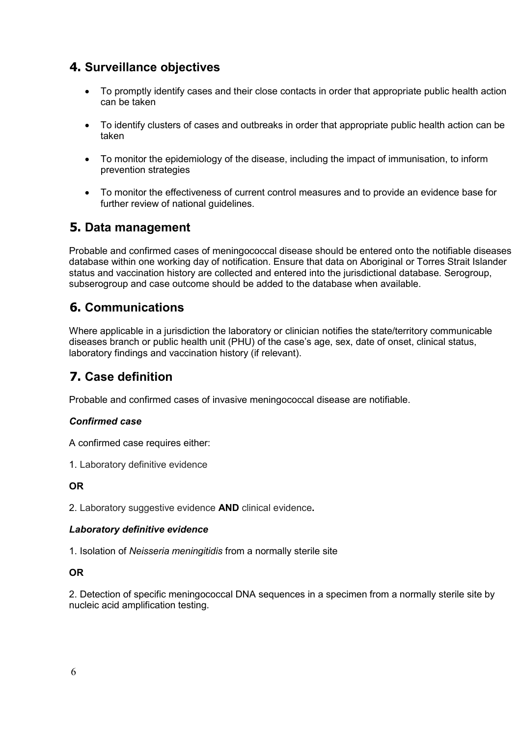## **4. Surveillance objectives**

- To promptly identify cases and their close contacts in order that appropriate public health action can be taken
- To identify clusters of cases and outbreaks in order that appropriate public health action can be taken
- To monitor the epidemiology of the disease, including the impact of immunisation, to inform prevention strategies
- To monitor the effectiveness of current control measures and to provide an evidence base for further review of national guidelines.

## **5. Data management**

Probable and confirmed cases of meningococcal disease should be entered onto the notifiable diseases database within one working day of notification. Ensure that data on Aboriginal or Torres Strait Islander status and vaccination history are collected and entered into the jurisdictional database. Serogroup, subserogroup and case outcome should be added to the database when available.

## **6. Communications**

Where applicable in a jurisdiction the laboratory or clinician notifies the state/territory communicable diseases branch or public health unit (PHU) of the case's age, sex, date of onset, clinical status, laboratory findings and vaccination history (if relevant).

## **7. Case definition**

Probable and confirmed cases of invasive meningococcal disease are notifiable.

## *Confirmed case*

A confirmed case requires either:

1. Laboratory definitive evidence

#### **OR**

2. Laboratory suggestive evidence **AND** clinical evidence**.**

#### *Laboratory definitive evidence*

1. Isolation of *Neisseria meningitidis* from a normally sterile site

#### **OR**

2. Detection of specific meningococcal DNA sequences in a specimen from a normally sterile site by nucleic acid amplification testing.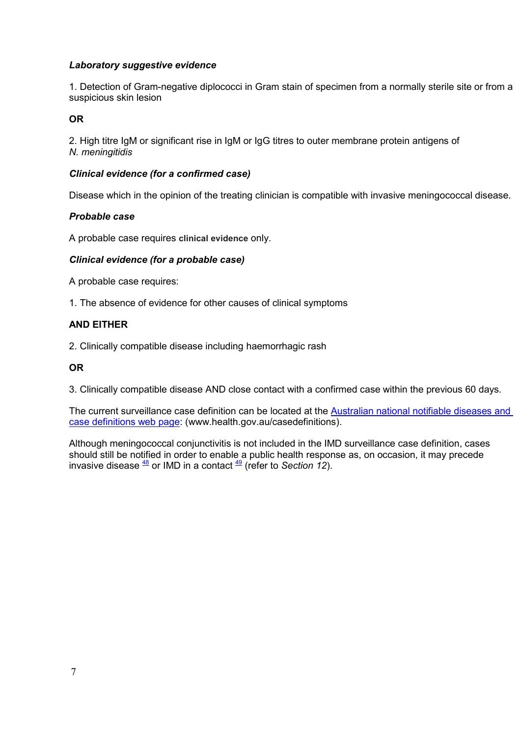#### *Laboratory suggestive evidence*

1. Detection of Gram-negative diplococci in Gram stain of specimen from a normally sterile site or from a suspicious skin lesion

**OR**

2. High titre IgM or significant rise in IgM or IgG titres to outer membrane protein antigens of *N. meningitidis* 

#### *Clinical evidence (for a confirmed case)*

Disease which in the opinion of the treating clinician is compatible with invasive meningococcal disease.

#### *Probable case*

A probable case requires **clinical evidence** only.

#### *Clinical evidence (for a probable case)*

A probable case requires:

1. The absence of evidence for other causes of clinical symptoms

#### **AND EITHER**

2. Clinically compatible disease including haemorrhagic rash

#### **OR**

3. Clinically compatible disease AND close contact with a confirmed case within the previous 60 days.

The current surveillance case definition can be located at the **Australian national notifiable diseases and** [case definitions web page:](http://www.health.gov.au/casedefinitions) (www.health.gov.au/casedefinitions).

Although meningococcal conjunctivitis is not included in the IMD surveillance case definition, cases should still be notified in order to enable a public health response as, on occasion, it may precede invasive disease  $\frac{48}{10}$  $\frac{48}{10}$  $\frac{48}{10}$  or IMD in a contact  $\frac{49}{10}$  $\frac{49}{10}$  $\frac{49}{10}$  (refer to *Section 12*).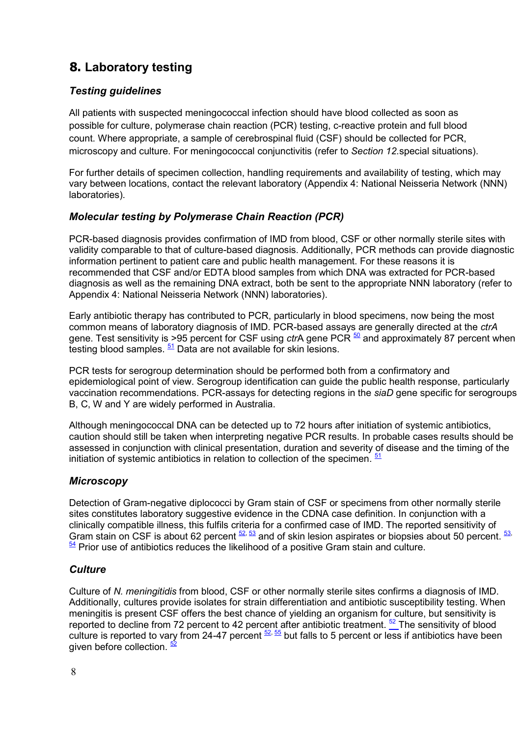## **8. Laboratory testing**

## *Testing guidelines*

All patients with suspected meningococcal infection should have blood collected as soon as possible for culture, polymerase chain reaction (PCR) testing, c-reactive protein and full blood count. Where appropriate, a sample of cerebrospinal fluid (CSF) should be collected for PCR, microscopy and culture. For meningococcal conjunctivitis (refer to *Section 12.*special situations).

For further details of specimen collection, handling requirements and availability of testing, which may vary between locations, contact the relevant laboratory [\(Appendix 4: National Neisseria Network \(NNN\)](#page-31-0)  [laboratories\)](#page-31-0).

## *Molecular testing by Polymerase Chain Reaction (PCR)*

PCR-based diagnosis provides confirmation of IMD from blood, CSF or other normally sterile sites with validity comparable to that of culture-based diagnosis. Additionally, PCR methods can provide diagnostic information pertinent to patient care and public health management. For these reasons it is recommended that CSF and/or EDTA blood samples from which DNA was extracted for PCR-based diagnosis as well as the remaining DNA extract, both be sent to the appropriate NNN laboratory (refer to [Appendix 4: National Neisseria Network \(NNN\) laboratories\)](#page-31-0).

Early antibiotic therapy has contributed to PCR, particularly in blood specimens, now being the most common means of laboratory diagnosis of IMD. PCR-based assays are generally directed at the *ctrA* gene. Test sensitivity is >95 percent for CSF using *ctr*A gene PCR <sup>[50](#page-22-10)</sup> and approximately 87 percent when testing blood samples.  $\frac{51}{2}$  $\frac{51}{2}$  $\frac{51}{2}$  Data are not available for skin lesions.

PCR tests for serogroup determination should be performed both from a confirmatory and epidemiological point of view. Serogroup identification can guide the public health response, particularly vaccination recommendations. PCR-assays for detecting regions in the *siaD* gene specific for serogroups B, C, W and Y are widely performed in Australia.

Although meningococcal DNA can be detected up to 72 hours after initiation of systemic antibiotics, caution should still be taken when interpreting negative PCR results. In probable cases results should be assessed in conjunction with clinical presentation, duration and severity of disease and the timing of the initiation of systemic antibiotics in relation to collection of the specimen. <sup>[51](#page-22-11)</sup>

## *Microscopy*

Detection of Gram-negative diplococci by Gram stain of CSF or specimens from other normally sterile sites constitutes laboratory suggestive evidence in the CDNA case definition. In conjunction with a clinically compatible illness, this fulfils criteria for a confirmed case of IMD. The reported sensitivity of Gram stain on CSF is about 62 percent  $\frac{52}{6}$ ,  $\frac{53}{3}$  and of skin lesion aspirates or biopsies about 50 percent.  $\frac{53}{6}$  $\frac{54}{2}$  $\frac{54}{2}$  $\frac{54}{2}$  Prior use of antibiotics reduces the likelihood of a positive Gram stain and culture.

## *Culture*

Culture of *N. meningitidis* from blood, CSF or other normally sterile sites confirms a diagnosis of IMD. Additionally, cultures provide isolates for strain differentiation and antibiotic susceptibility testing. When meningitis is present CSF offers the best chance of yielding an organism for culture, but sensitivity is reported to decline from 72 percent to 42 percent after antibiotic treatment. <sup>[52](#page-22-12)</sup> The sensitivity of blood culture is reported to vary from 24-47 percent  $\frac{52}{55}$  but falls to 5 percent or less if antibiotics have been given before collection. [52](#page-22-12)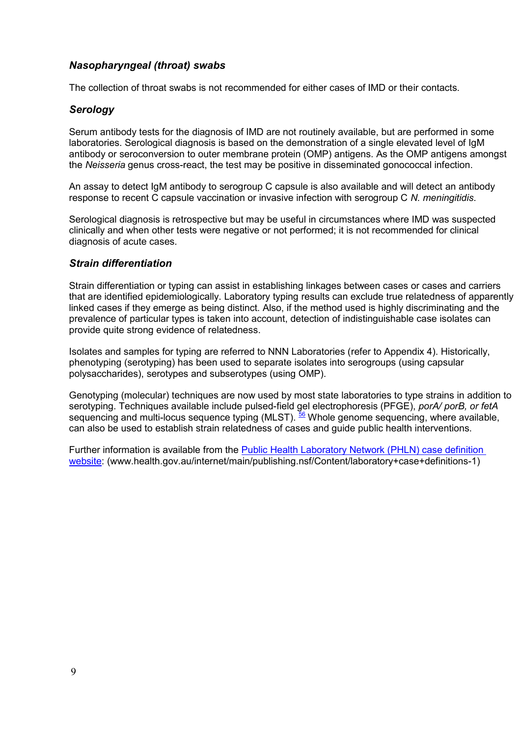## *Nasopharyngeal (throat) swabs*

The collection of throat swabs is not recommended for either cases of IMD or their contacts.

### *Serology*

Serum antibody tests for the diagnosis of IMD are not routinely available, but are performed in some laboratories. Serological diagnosis is based on the demonstration of a single elevated level of IgM antibody or seroconversion to outer membrane protein (OMP) antigens. As the OMP antigens amongst the *Neisseria* genus cross-react, the test may be positive in disseminated gonococcal infection.

An assay to detect IgM antibody to serogroup C capsule is also available and will detect an antibody response to recent C capsule vaccination or invasive infection with serogroup C *N. meningitidis*.

Serological diagnosis is retrospective but may be useful in circumstances where IMD was suspected clinically and when other tests were negative or not performed; it is not recommended for clinical diagnosis of acute cases.

#### *Strain differentiation*

Strain differentiation or typing can assist in establishing linkages between cases or cases and carriers that are identified epidemiologically. Laboratory typing results can exclude true relatedness of apparently linked cases if they emerge as being distinct. Also, if the method used is highly discriminating and the prevalence of particular types is taken into account, detection of indistinguishable case isolates can provide quite strong evidence of relatedness.

Isolates and samples for typing are referred to NNN Laboratories (refer to [Appendix 4\)](#page-31-0). Historically, phenotyping (serotyping) has been used to separate isolates into serogroups (using capsular polysaccharides), serotypes and subserotypes (using OMP).

Genotyping (molecular) techniques are now used by most state laboratories to type strains in addition to serotyping. Techniques available include pulsed-field gel electrophoresis (PFGE), *porA/ porB, or fetA*  sequencing and multi-locus sequence typing (MLST). <sup>[56](#page-22-16)</sup> Whole genome sequencing, where available, can also be used to establish strain relatedness of cases and guide public health interventions.

Further information is available from the **Public Health Laboratory Network (PHLN)** case definition [website:](http://www.health.gov.au/internet/main/publishing.nsf/Content/laboratory+case+definitions-1) (www.health.gov.au/internet/main/publishing.nsf/Content/laboratory+case+definitions-1)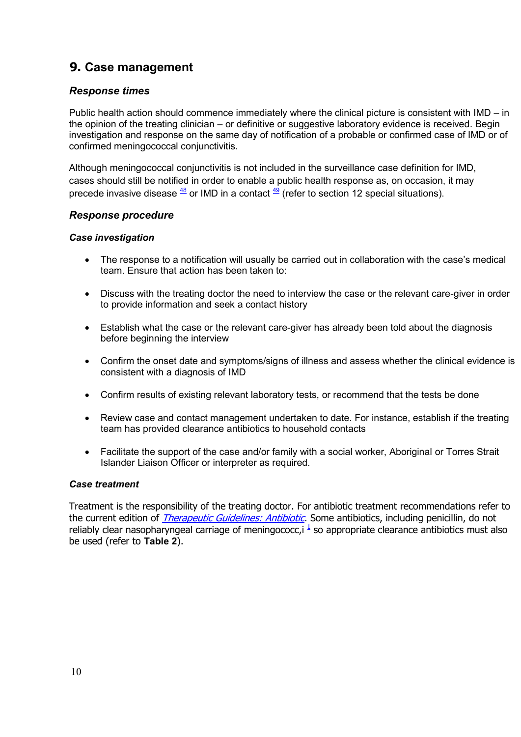## **9. Case management**

## *Response times*

Public health action should commence immediately where the clinical picture is consistent with IMD – in the opinion of the treating clinician – or definitive or suggestive laboratory evidence is received. Begin investigation and response on the same day of notification of a probable or confirmed case of IMD or of confirmed meningococcal conjunctivitis.

Although meningococcal conjunctivitis is not included in the surveillance case definition for IMD, cases should still be notified in order to enable a public health response as, on occasion, it may precede invasive disease  $\frac{48}{10}$  $\frac{48}{10}$  $\frac{48}{10}$  or IMD in a contact  $\frac{49}{10}$  $\frac{49}{10}$  $\frac{49}{10}$  (refer to section 12 special situations).

#### *Response procedure*

#### *Case investigation*

- The response to a notification will usually be carried out in collaboration with the case's medical team. Ensure that action has been taken to:
- Discuss with the treating doctor the need to interview the case or the relevant care-giver in order to provide information and seek a contact history
- Establish what the case or the relevant care-giver has already been told about the diagnosis before beginning the interview
- Confirm the onset date and symptoms/signs of illness and assess whether the clinical evidence is consistent with a diagnosis of IMD
- Confirm results of existing relevant laboratory tests, or recommend that the tests be done
- Review case and contact management undertaken to date. For instance, establish if the treating team has provided clearance antibiotics to household contacts
- Facilitate the support of the case and/or family with a social worker, Aboriginal or Torres Strait Islander Liaison Officer or interpreter as required.

#### *Case treatment*

Treatment is the responsibility of the treating doctor. For antibiotic treatment recommendations refer to the current edition of *[Therapeutic Guidelines: Antibiotic](https://www.clinicalguidelines.gov.au/portal/2406/therapeutic-guidelines-antibiotic-version-15)*. Some antibiotics, including penicillin, do not reliably clear nasopharyngeal carriage of meningococc,  $i$   $\frac{1}{2}$  $\frac{1}{2}$  $\frac{1}{2}$  so appropriate clearance antibiotics must also be used (refer to **[Table 2](#page-14-0)**).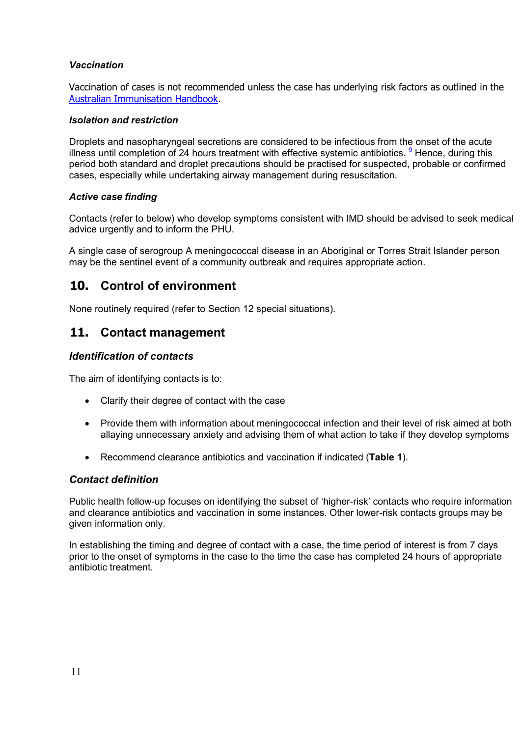#### <span id="page-10-2"></span>*Vaccination*

Vaccination of cases is not recommended unless the case has underlying risk factors as outlined in the [Australian Immunisation Handbook.](http://www.immunise.health.gov.au/internet/immunise/publishing.nsf/Content/B228E01A1B7F371BCA257D4D0023237A/$File/4-10-Meningococcal.pdf)

#### *Isolation and restriction*

Droplets and nasopharyngeal secretions are considered to be infectious from the onset of the acute illness until completion of 24 hours treatment with effective systemic antibiotics. <sup>[9](#page-20-8)</sup> Hence, during this period both standard and droplet precautions should be practised for suspected, probable or confirmed cases, especially while undertaking airway management during resuscitation.

#### *Active case finding*

Contacts (refer to below) who develop symptoms consistent with IMD should be advised to seek medical advice urgently and to inform the PHU.

A single case of serogroup A meningococcal disease in an Aboriginal or Torres Strait Islander person may be the sentinel event of a community outbreak and requires appropriate action.

## **10. Control of environment**

None routinely required (refer to Section 12 special situations).

## <span id="page-10-1"></span>**11. Contact management**

#### *Identification of contacts*

The aim of identifying contacts is to:

- Clarify their degree of contact with the case
- Provide them with information about meningococcal infection and their level of risk aimed at both allaying unnecessary anxiety and advising them of what action to take if they develop symptoms
- Recommend clearance antibiotics and vaccination if indicated (**[Table 1](#page-12-0)**).

## <span id="page-10-0"></span>*Contact definition*

Public health follow-up focuses on identifying the subset of 'higher-risk' contacts who require information and clearance antibiotics and vaccination in some instances. Other lower-risk contacts groups may be given information only.

In establishing the timing and degree of contact with a case, the time period of interest is from 7 days prior to the onset of symptoms in the case to the time the case has completed 24 hours of appropriate antibiotic treatment.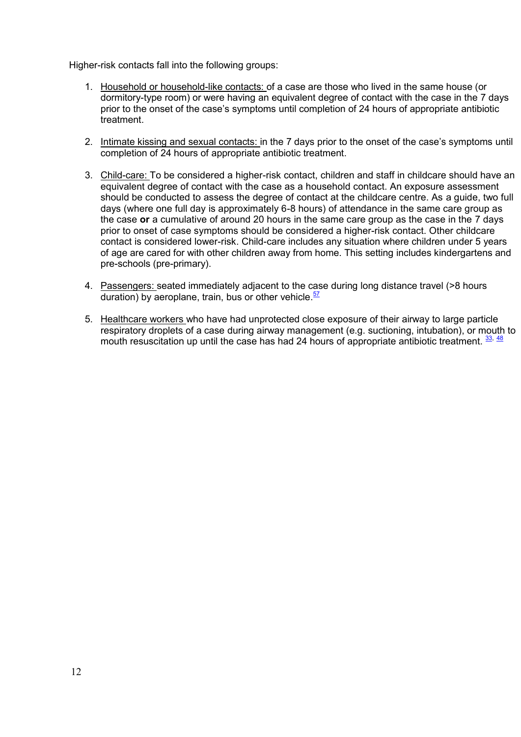Higher-risk contacts fall into the following groups:

- 1. Household or household-like contacts: of a case are those who lived in the same house (or dormitory-type room) or were having an equivalent degree of contact with the case in the 7 days prior to the onset of the case's symptoms until completion of 24 hours of appropriate antibiotic treatment.
- 2. Intimate kissing and sexual contacts: in the 7 days prior to the onset of the case's symptoms until completion of 24 hours of appropriate antibiotic treatment.
- 3. Child-care: To be considered a higher-risk contact, children and staff in childcare should have an equivalent degree of contact with the case as a household contact. An exposure assessment should be conducted to assess the degree of contact at the childcare centre. As a guide, two full days (where one full day is approximately 6-8 hours) of attendance in the same care group as the case **or** a cumulative of around 20 hours in the same care group as the case in the 7 days prior to onset of case symptoms should be considered a higher-risk contact. Other childcare contact is considered lower-risk. Child-care includes any situation where children under 5 years of age are cared for with other children away from home. This setting includes kindergartens and pre-schools (pre-primary).
- 4. Passengers: seated immediately adjacent to the case during long distance travel (>8 hours duration) by aeroplane, train, bus or other vehicle.<sup>[57](#page-22-17)</sup>
- 5. Healthcare workers who have had unprotected close exposure of their airway to large particle respiratory droplets of a case during airway management (e.g. suctioning, intubation), or mouth to mouth resuscitation up until the case has had 24 hours of appropriate antibiotic treatment.  $\frac{33}{10}$ ,  $\frac{48}{10}$  $\frac{48}{10}$  $\frac{48}{10}$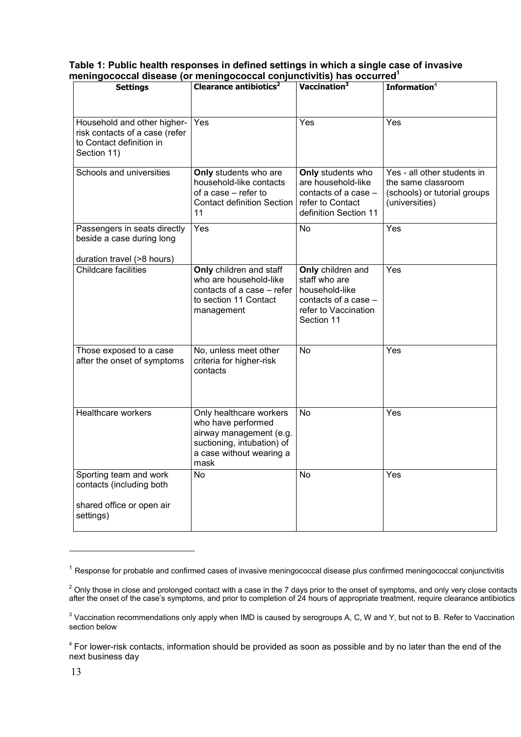<span id="page-12-0"></span>

| Table 1: Public health responses in defined settings in which a single case of invasive |  |
|-----------------------------------------------------------------------------------------|--|
| meningococcal disease (or meningococcal conjunctivitis) has occurred <sup>1</sup>       |  |

| <b>Settings</b>                                                                                          | Clearance antibiotics <sup>2</sup>                                                                                                         | Vaccination <sup>3</sup>                                                                                           | Information <sup>4</sup>                                                                            |
|----------------------------------------------------------------------------------------------------------|--------------------------------------------------------------------------------------------------------------------------------------------|--------------------------------------------------------------------------------------------------------------------|-----------------------------------------------------------------------------------------------------|
|                                                                                                          |                                                                                                                                            |                                                                                                                    |                                                                                                     |
| Household and other higher-<br>risk contacts of a case (refer<br>to Contact definition in<br>Section 11) | Yes                                                                                                                                        | Yes                                                                                                                | Yes                                                                                                 |
| Schools and universities                                                                                 | Only students who are<br>household-like contacts<br>of a case - refer to<br><b>Contact definition Section</b><br>11                        | Only students who<br>are household-like<br>contacts of a case -<br>refer to Contact<br>definition Section 11       | Yes - all other students in<br>the same classroom<br>(schools) or tutorial groups<br>(universities) |
| Passengers in seats directly<br>beside a case during long<br>duration travel (>8 hours)                  | Yes                                                                                                                                        | <b>No</b>                                                                                                          | Yes                                                                                                 |
| <b>Childcare facilities</b>                                                                              | Only children and staff<br>who are household-like<br>contacts of a case - refer<br>to section 11 Contact<br>management                     | Only children and<br>staff who are<br>household-like<br>contacts of a case -<br>refer to Vaccination<br>Section 11 | Yes                                                                                                 |
| Those exposed to a case<br>after the onset of symptoms                                                   | No, unless meet other<br>criteria for higher-risk<br>contacts                                                                              | <b>No</b>                                                                                                          | Yes                                                                                                 |
| <b>Healthcare workers</b>                                                                                | Only healthcare workers<br>who have performed<br>airway management (e.g.<br>suctioning, intubation) of<br>a case without wearing a<br>mask | <b>No</b>                                                                                                          | Yes                                                                                                 |
| Sporting team and work<br>contacts (including both<br>shared office or open air<br>settings)             | No                                                                                                                                         | No                                                                                                                 | Yes                                                                                                 |

<sup>&</sup>lt;sup>1</sup> Response for probable and confirmed cases of invasive meningococcal disease plus confirmed meningococcal conjunctivitis

 $^2$  Only those in close and prolonged contact with a case in the 7 days prior to the onset of symptoms, and only very close contacts after the onset of the case's symptoms, and prior to completion of 24 hours of appropriate treatment, require clearance antibiotics

 $3$  Vaccination recommendations only apply when IMD is caused by serogroups A, C, W and Y, but not to B. Refer to Vaccination section below

<sup>4</sup> For lower-risk contacts, information should be provided as soon as possible and by no later than the end of the next business day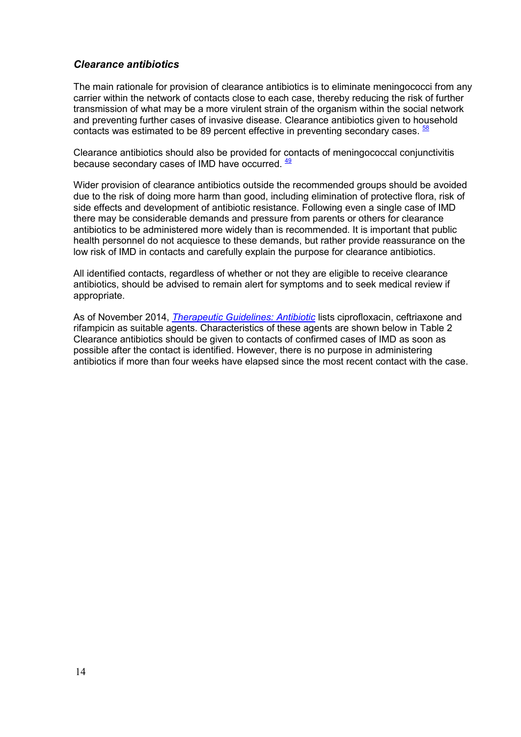#### *Clearance antibiotics*

The main rationale for provision of clearance antibiotics is to eliminate meningococci from any carrier within the network of contacts close to each case, thereby reducing the risk of further transmission of what may be a more virulent strain of the organism within the social network and preventing further cases of invasive disease. Clearance antibiotics given to household contacts was estimated to be 89 percent effective in preventing secondary cases.  $\frac{58}{6}$  $\frac{58}{6}$  $\frac{58}{6}$ 

Clearance antibiotics should also be provided for contacts of meningococcal conjunctivitis because secondary cases of IMD have occurred.  $49$ 

Wider provision of clearance antibiotics outside the recommended groups should be avoided due to the risk of doing more harm than good, including elimination of protective flora, risk of side effects and development of antibiotic resistance. Following even a single case of IMD there may be considerable demands and pressure from parents or others for clearance antibiotics to be administered more widely than is recommended. It is important that public health personnel do not acquiesce to these demands, but rather provide reassurance on the low risk of IMD in contacts and carefully explain the purpose for clearance antibiotics.

All identified contacts, regardless of whether or not they are eligible to receive clearance antibiotics, should be advised to remain alert for symptoms and to seek medical review if appropriate.

As of November 2014, *[Therapeutic Guidelines: Antibiotic](https://www.clinicalguidelines.gov.au/portal/2406/therapeutic-guidelines-antibiotic-version-15)* lists ciprofloxacin, ceftriaxone and rifampicin as suitable agents. Characteristics of these agents are shown below in [Table 2](#page-14-0) Clearance antibiotics should be given to contacts of confirmed cases of IMD as soon as possible after the contact is identified. However, there is no purpose in administering antibiotics if more than four weeks have elapsed since the most recent contact with the case.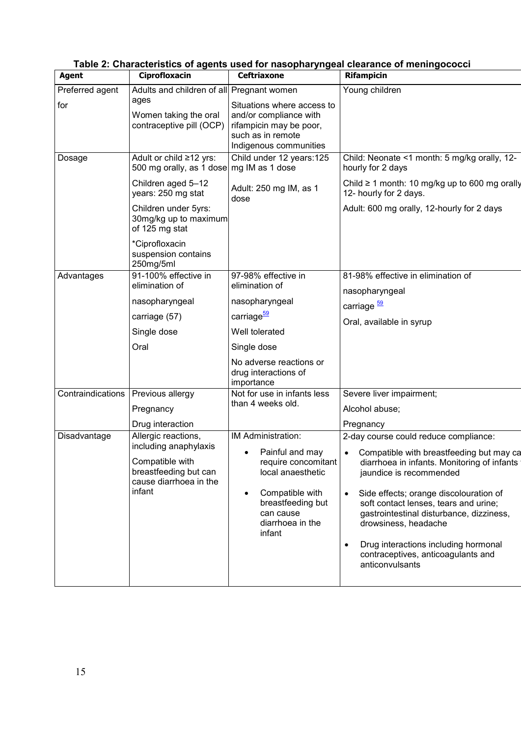<span id="page-14-1"></span>

| Adults and children of all Pregnant women<br>Young children<br>Preferred agent<br>ages<br>for<br>Situations where access to<br>Women taking the oral<br>and/or compliance with<br>contraceptive pill (OCP)<br>rifampicin may be poor,<br>such as in remote<br>Indigenous communities<br>Adult or child ≥12 yrs:<br>Child: Neonate <1 month: 5 mg/kg orally, 12-                     |  |
|-------------------------------------------------------------------------------------------------------------------------------------------------------------------------------------------------------------------------------------------------------------------------------------------------------------------------------------------------------------------------------------|--|
|                                                                                                                                                                                                                                                                                                                                                                                     |  |
|                                                                                                                                                                                                                                                                                                                                                                                     |  |
| Child under 12 years: 125<br>Dosage<br>500 mg orally, as 1 dose mg IM as 1 dose<br>hourly for 2 days                                                                                                                                                                                                                                                                                |  |
| Children aged 5-12<br>Child $\geq 1$ month: 10 mg/kg up to 600 mg orally<br>Adult: 250 mg IM, as 1<br>years: 250 mg stat<br>12- hourly for 2 days.<br>dose                                                                                                                                                                                                                          |  |
| Children under 5yrs:<br>Adult: 600 mg orally, 12-hourly for 2 days<br>30mg/kg up to maximum<br>of 125 mg stat                                                                                                                                                                                                                                                                       |  |
| *Ciprofloxacin<br>suspension contains<br>250mg/5ml                                                                                                                                                                                                                                                                                                                                  |  |
| 91-100% effective in<br>81-98% effective in elimination of<br>Advantages<br>97-98% effective in<br>elimination of<br>elimination of                                                                                                                                                                                                                                                 |  |
| nasopharyngeal<br>nasopharyngeal<br>nasopharyngeal                                                                                                                                                                                                                                                                                                                                  |  |
| carriage <sup>59</sup><br>carriage <sup>59</sup><br>carriage (57)                                                                                                                                                                                                                                                                                                                   |  |
| Oral, available in syrup<br>Single dose<br>Well tolerated                                                                                                                                                                                                                                                                                                                           |  |
|                                                                                                                                                                                                                                                                                                                                                                                     |  |
| Oral<br>Single dose                                                                                                                                                                                                                                                                                                                                                                 |  |
| No adverse reactions or<br>drug interactions of<br>importance                                                                                                                                                                                                                                                                                                                       |  |
| Contraindications<br>Previous allergy<br>Not for use in infants less<br>Severe liver impairment;                                                                                                                                                                                                                                                                                    |  |
| than 4 weeks old.<br>Alcohol abuse;<br>Pregnancy                                                                                                                                                                                                                                                                                                                                    |  |
| Drug interaction<br>Pregnancy                                                                                                                                                                                                                                                                                                                                                       |  |
| Allergic reactions,<br>IM Administration:<br>2-day course could reduce compliance:<br>Disadvantage                                                                                                                                                                                                                                                                                  |  |
| including anaphylaxis<br>Painful and may<br>• Compatible with breastfeeding but may ca<br>Compatible with<br>diarrhoea in infants. Monitoring of infants<br>require concomitant<br>breastfeeding but can<br>local anaesthetic<br>jaundice is recommended<br>cause diarrhoea in the<br>infant<br>Compatible with<br>Side effects; orange discolouration of<br>$\bullet$<br>$\bullet$ |  |
| breastfeeding but<br>soft contact lenses, tears and urine;<br>can cause<br>gastrointestinal disturbance, dizziness,<br>diarrhoea in the<br>drowsiness, headache<br>infant                                                                                                                                                                                                           |  |
| Drug interactions including hormonal<br>$\bullet$<br>contraceptives, anticoagulants and                                                                                                                                                                                                                                                                                             |  |

<span id="page-14-0"></span>

| Table 2: Characteristics of agents used for nasopharyngeal clearance of meningococci |  |
|--------------------------------------------------------------------------------------|--|
|                                                                                      |  |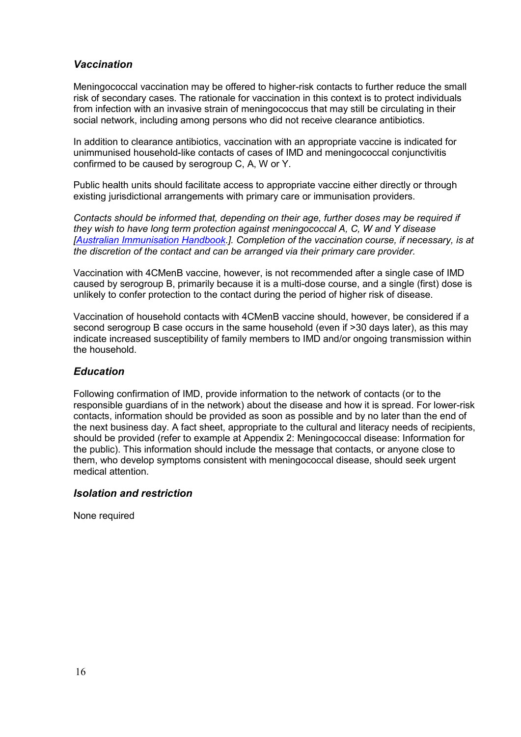## *Vaccination*

Meningococcal vaccination may be offered to higher-risk contacts to further reduce the small risk of secondary cases. The rationale for vaccination in this context is to protect individuals from infection with an invasive strain of meningococcus that may still be circulating in their social network, including among persons who did not receive clearance antibiotics.

In addition to clearance antibiotics, vaccination with an appropriate vaccine is indicated for unimmunised household-like contacts of cases of IMD and meningococcal conjunctivitis confirmed to be caused by serogroup C, A, W or Y.

Public health units should facilitate access to appropriate vaccine either directly or through existing jurisdictional arrangements with primary care or immunisation providers.

*Contacts should be informed that, depending on their age, further doses may be required if they wish to have long term protection against meningococcal A, C, W and Y disease [\[Australian Immunisation Handbook.](http://www.immunise.health.gov.au/internet/immunise/publishing.nsf/Content/B228E01A1B7F371BCA257D4D0023237A/$File/4-10-Meningococcal.pdf)]. Completion of the vaccination course, if necessary, is at the discretion of the contact and can be arranged via their primary care provider.*

Vaccination with 4CMenB vaccine, however, is not recommended after a single case of IMD caused by serogroup B, primarily because it is a multi-dose course, and a single (first) dose is unlikely to confer protection to the contact during the period of higher risk of disease.

Vaccination of household contacts with 4CMenB vaccine should, however, be considered if a second serogroup B case occurs in the same household (even if >30 days later), as this may indicate increased susceptibility of family members to IMD and/or ongoing transmission within the household.

### *Education*

Following confirmation of IMD, provide information to the network of contacts (or to the responsible guardians of in the network) about the disease and how it is spread. For lower-risk contacts, information should be provided as soon as possible and by no later than the end of the next business day. A fact sheet, appropriate to the cultural and literacy needs of recipients, should be provided (refer to example at Appendix 2: [Meningococcal disease: Information for](#page-26-0)  the [public\)](#page-26-0). This information should include the message that contacts, or anyone close to them, who develop symptoms consistent with meningococcal disease, should seek urgent medical attention.

#### *Isolation and restriction*

None required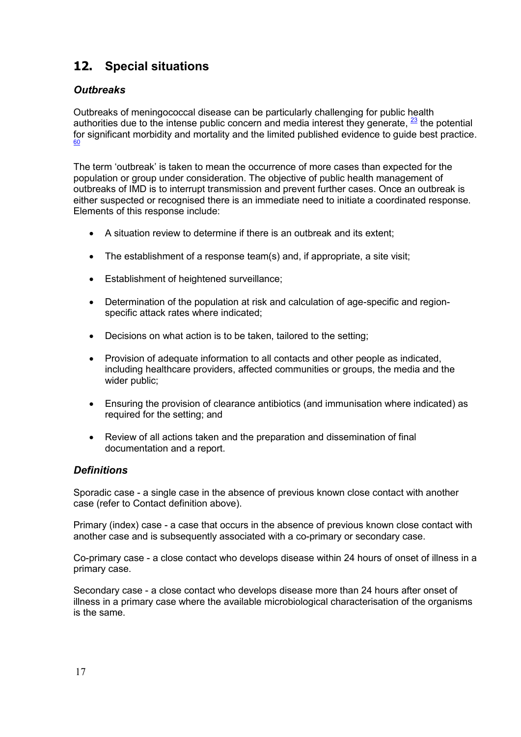## **12. Special situations**

## *Outbreaks*

Outbreaks of meningococcal disease can be particularly challenging for public health authorities due to the intense public concern and media interest they generate,  $\frac{23}{12}$  $\frac{23}{12}$  $\frac{23}{12}$  the potential for significant morbidity and mortality and the limited published evidence to guide best practice. [60](#page-22-20)

The term 'outbreak' is taken to mean the occurrence of more cases than expected for the population or group under consideration. The objective of public health management of outbreaks of IMD is to interrupt transmission and prevent further cases. Once an outbreak is either suspected or recognised there is an immediate need to initiate a coordinated response. Elements of this response include:

- A situation review to determine if there is an outbreak and its extent;
- The establishment of a response team(s) and, if appropriate, a site visit;
- Establishment of heightened surveillance;
- Determination of the population at risk and calculation of age-specific and regionspecific attack rates where indicated;
- Decisions on what action is to be taken, tailored to the setting;
- Provision of adequate information to all contacts and other people as indicated, including healthcare providers, affected communities or groups, the media and the wider public;
- Ensuring the provision of clearance antibiotics (and immunisation where indicated) as required for the setting; and
- Review of all actions taken and the preparation and dissemination of final documentation and a report.

## *Definitions*

Sporadic case - a single case in the absence of previous known close contact with another case (refer to [Contact definition](#page-10-0) above).

Primary (index) case - a case that occurs in the absence of previous known close contact with another case and is subsequently associated with a co-primary or secondary case.

Co-primary case - a close contact who develops disease within 24 hours of onset of illness in a primary case.

Secondary case - a close contact who develops disease more than 24 hours after onset of illness in a primary case where the available microbiological characterisation of the organisms is the same.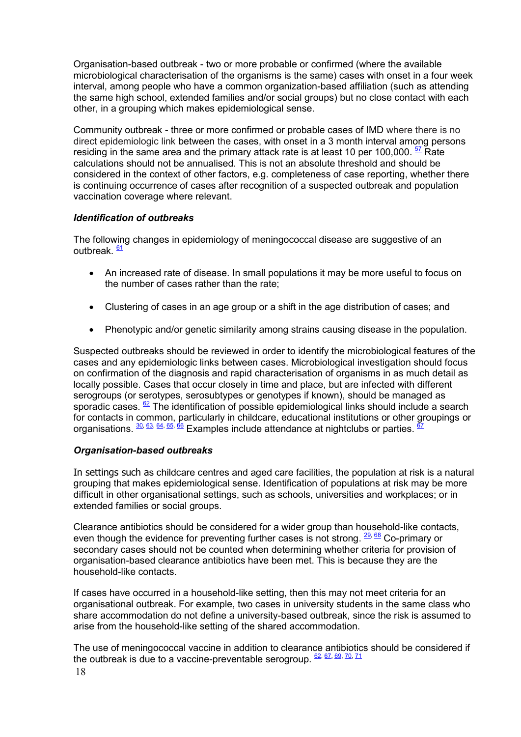Organisation-based outbreak - two or more probable or confirmed (where the available microbiological characterisation of the organisms is the same) cases with onset in a four week interval, among people who have a common organization-based affiliation (such as attending the same high school, extended families and/or social groups) but no close contact with each other, in a grouping which makes epidemiological sense.

Community outbreak - three or more confirmed or probable cases of IMD where there is no direct epidemiologic link between the cases, with onset in a 3 month interval among persons residing in the same area and the primary attack rate is at least 10 per 100,000. <sup>[57](#page-22-17)</sup> Rate calculations should not be annualised. This is not an absolute threshold and should be considered in the context of other factors, e.g. completeness of case reporting, whether there is continuing occurrence of cases after recognition of a suspected outbreak and population vaccination coverage where relevant.

#### *Identification of outbreaks*

The following changes in epidemiology of meningococcal disease are suggestive of an outbreak. <u><sup>[61](#page-22-21)</sup></u>

- An increased rate of disease. In small populations it may be more useful to focus on the number of cases rather than the rate;
- Clustering of cases in an age group or a shift in the age distribution of cases; and
- Phenotypic and/or genetic similarity among strains causing disease in the population.

Suspected outbreaks should be reviewed in order to identify the microbiological features of the cases and any epidemiologic links between cases. Microbiological investigation should focus on confirmation of the diagnosis and rapid characterisation of organisms in as much detail as locally possible. Cases that occur closely in time and place, but are infected with different serogroups (or serotypes, serosubtypes or genotypes if known), should be managed as sporadic cases. <sup>[62](#page-23-0)</sup> The identification of possible epidemiological links should include a search for contacts in common, particularly in childcare, educational institutions or other groupings or organisations.  $\frac{30}{63}$ , [63,](#page-23-1) [64,](#page-23-2) [65,](#page-23-3) [66](#page-23-4) Examples include attendance at nightclubs or parties.  $\frac{67}{67}$  $\frac{67}{67}$  $\frac{67}{67}$ 

#### *Organisation-based outbreaks*

In settings such as childcare centres and aged care facilities, the population at risk is a natural grouping that makes epidemiological sense. Identification of populations at risk may be more difficult in other organisational settings, such as schools, universities and workplaces; or in extended families or social groups.

Clearance antibiotics should be considered for a wider group than household-like contacts, even though the evidence for preventing further cases is not strong. <sup>[29,](#page-21-8) [68](#page-23-6)</sup> Co-primary or secondary cases should not be counted when determining whether criteria for provision of organisation-based clearance antibiotics have been met. This is because they are the household-like contacts.

If cases have occurred in a household-like setting, then this may not meet criteria for an organisational outbreak. For example, two cases in university students in the same class who share accommodation do not define a university-based outbreak, since the risk is assumed to arise from the household-like setting of the shared accommodation.

The use of meningococcal vaccine in addition to clearance antibiotics should be considered if the outbreak is due to a vaccine-preventable serogroup. **[62,](#page-23-0) [67,](#page-23-5) [69,](#page-23-7) [70,](#page-23-8) [71](#page-23-9)**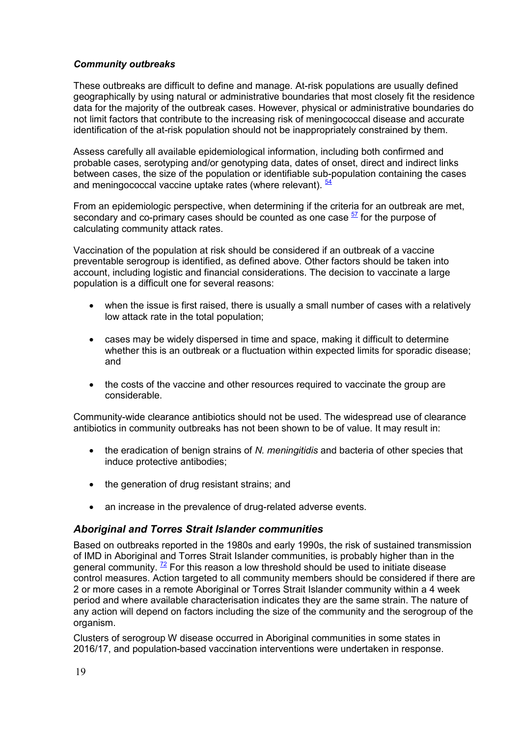#### *Community outbreaks*

These outbreaks are difficult to define and manage. At-risk populations are usually defined geographically by using natural or administrative boundaries that most closely fit the residence data for the majority of the outbreak cases. However, physical or administrative boundaries do not limit factors that contribute to the increasing risk of meningococcal disease and accurate identification of the at-risk population should not be inappropriately constrained by them.

Assess carefully all available epidemiological information, including both confirmed and probable cases, serotyping and/or genotyping data, dates of onset, direct and indirect links between cases, the size of the population or identifiable sub-population containing the cases and meningococcal vaccine uptake rates (where relevant).  $\frac{54}{54}$  $\frac{54}{54}$  $\frac{54}{54}$ 

From an epidemiologic perspective, when determining if the criteria for an outbreak are met, secondary and co-primary cases should be counted as one case  $\frac{57}{2}$  $\frac{57}{2}$  $\frac{57}{2}$  for the purpose of calculating community attack rates.

Vaccination of the population at risk should be considered if an outbreak of a vaccine preventable serogroup is identified, as defined above. Other factors should be taken into account, including logistic and financial considerations. The decision to vaccinate a large population is a difficult one for several reasons:

- when the issue is first raised, there is usually a small number of cases with a relatively low attack rate in the total population;
- cases may be widely dispersed in time and space, making it difficult to determine whether this is an outbreak or a fluctuation within expected limits for sporadic disease; and
- the costs of the vaccine and other resources required to vaccinate the group are considerable.

Community-wide clearance antibiotics should not be used. The widespread use of clearance antibiotics in community outbreaks has not been shown to be of value. It may result in:

- the eradication of benign strains of *N. meningitidis* and bacteria of other species that induce protective antibodies;
- the generation of drug resistant strains; and
- an increase in the prevalence of drug-related adverse events.

## *Aboriginal and Torres Strait Islander communities*

Based on outbreaks reported in the 1980s and early 1990s, the risk of sustained transmission of IMD in Aboriginal and Torres Strait Islander communities, is probably higher than in the general community.  $\frac{72}{5}$  $\frac{72}{5}$  $\frac{72}{5}$  For this reason a low threshold should be used to initiate disease control measures. Action targeted to all community members should be considered if there are 2 or more cases in a remote Aboriginal or Torres Strait Islander community within a 4 week period and where available characterisation indicates they are the same strain. The nature of any action will depend on factors including the size of the community and the serogroup of the organism.

Clusters of serogroup W disease occurred in Aboriginal communities in some states in 2016/17, and population-based vaccination interventions were undertaken in response.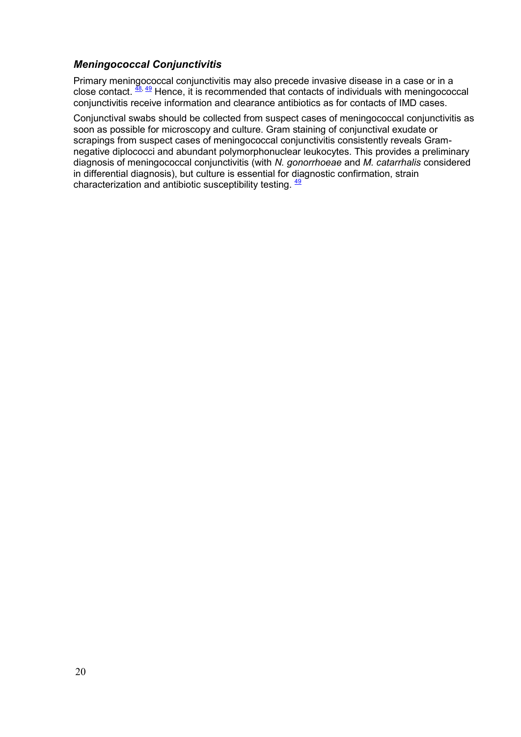## *Meningococcal Conjunctivitis*

Primary meningococcal conjunctivitis may also precede invasive disease in a case or in a close contact.  $\frac{48,49}{2}$  $\frac{48,49}{2}$  $\frac{48,49}{2}$  Hence, it is recommended that contacts of individuals with meningococcal conjunctivitis receive information and clearance antibiotics as for contacts of IMD cases.

Conjunctival swabs should be collected from suspect cases of meningococcal conjunctivitis as soon as possible for microscopy and culture. Gram staining of conjunctival exudate or scrapings from suspect cases of meningococcal conjunctivitis consistently reveals Gramnegative diplococci and abundant polymorphonuclear leukocytes. This provides a preliminary diagnosis of meningococcal conjunctivitis (with *N. gonorrhoeae* and *M. catarrhalis* considered in differential diagnosis), but culture is essential for diagnostic confirmation, strain characterization and antibiotic susceptibility testing.  $49$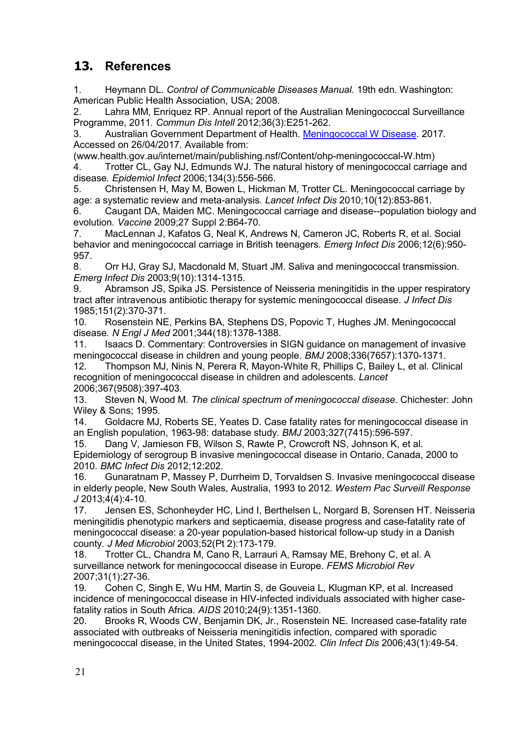## **13. References**

<span id="page-20-0"></span>1. Heymann DL. *Control of Communicable Diseases Manual*. 19th edn. Washington: American Public Health Association, USA; 2008.

<span id="page-20-1"></span>2. Lahra MM, Enriquez RP. Annual report of the Australian Meningococcal Surveillance Programme, 2011*. Commun Dis Intell* 2012;36(3):E251-262.

<span id="page-20-2"></span>3. Australian Government Department of Health. [Meningococcal W Disease.](http://www.health.gov.au/internet/main/publishing.nsf/Content/ohp-meningococcal-W.htm) 2017. Accessed on 26/04/2017. Available from:

(www.health.gov.au/internet/main/publishing.nsf/Content/ohp-meningococcal-W.htm)

<span id="page-20-3"></span>4. Trotter CL, Gay NJ, Edmunds WJ. The natural history of meningococcal carriage and disease*. Epidemiol Infect* 2006;134(3):556-566.

<span id="page-20-4"></span>5. Christensen H, May M, Bowen L, Hickman M, Trotter CL. Meningococcal carriage by age: a systematic review and meta-analysis*. Lancet Infect Dis* 2010;10(12):853-861.

<span id="page-20-5"></span>6. Caugant DA, Maiden MC. Meningococcal carriage and disease--population biology and evolution*. Vaccine* 2009;27 Suppl 2:B64-70.

<span id="page-20-6"></span>7. MacLennan J, Kafatos G, Neal K, Andrews N, Cameron JC, Roberts R, et al. Social behavior and meningococcal carriage in British teenagers*. Emerg Infect Dis* 2006;12(6):950- 957.

<span id="page-20-7"></span>8. Orr HJ, Gray SJ, Macdonald M, Stuart JM. Saliva and meningococcal transmission*. Emerg Infect Dis* 2003;9(10):1314-1315.

<span id="page-20-8"></span>9. Abramson JS, Spika JS. Persistence of Neisseria meningitidis in the upper respiratory tract after intravenous antibiotic therapy for systemic meningococcal disease*. J Infect Dis* 1985;151(2):370-371.

<span id="page-20-9"></span>10. Rosenstein NE, Perkins BA, Stephens DS, Popovic T, Hughes JM. Meningococcal disease*. N Engl J Med* 2001;344(18):1378-1388.

<span id="page-20-10"></span>11. Isaacs D. Commentary: Controversies in SIGN guidance on management of invasive meningococcal disease in children and young people*. BMJ* 2008;336(7657):1370-1371.

<span id="page-20-11"></span>12. Thompson MJ, Ninis N, Perera R, Mayon-White R, Phillips C, Bailey L, et al. Clinical recognition of meningococcal disease in children and adolescents*. Lancet* 2006;367(9508):397-403.

<span id="page-20-12"></span>13. Steven N, Wood M. *The clinical spectrum of meningococcal disease*. Chichester: John Wiley & Sons; 1995.

<span id="page-20-13"></span>14. Goldacre MJ, Roberts SE, Yeates D. Case fatality rates for meningococcal disease in an English population, 1963-98: database study*. BMJ* 2003;327(7415):596-597.

<span id="page-20-14"></span>15. Dang V, Jamieson FB, Wilson S, Rawte P, Crowcroft NS, Johnson K, et al. Epidemiology of serogroup B invasive meningococcal disease in Ontario, Canada, 2000 to 2010*. BMC Infect Dis* 2012;12:202.

<span id="page-20-15"></span>16. Gunaratnam P, Massey P, Durrheim D, Torvaldsen S. Invasive meningococcal disease in elderly people, New South Wales, Australia, 1993 to 2012*. Western Pac Surveill Response J* 2013;4(4):4-10.

<span id="page-20-16"></span>17. Jensen ES, Schonheyder HC, Lind I, Berthelsen L, Norgard B, Sorensen HT. Neisseria meningitidis phenotypic markers and septicaemia, disease progress and case-fatality rate of meningococcal disease: a 20-year population-based historical follow-up study in a Danish county*. J Med Microbiol* 2003;52(Pt 2):173-179.

<span id="page-20-17"></span>18. Trotter CL, Chandra M, Cano R, Larrauri A, Ramsay ME, Brehony C, et al. A surveillance network for meningococcal disease in Europe*. FEMS Microbiol Rev* 2007;31(1):27-36.

<span id="page-20-18"></span>19. Cohen C, Singh E, Wu HM, Martin S, de Gouveia L, Klugman KP, et al. Increased incidence of meningococcal disease in HIV-infected individuals associated with higher casefatality ratios in South Africa*. AIDS* 2010;24(9):1351-1360.

<span id="page-20-19"></span>20. Brooks R, Woods CW, Benjamin DK, Jr., Rosenstein NE. Increased case-fatality rate associated with outbreaks of Neisseria meningitidis infection, compared with sporadic meningococcal disease, in the United States, 1994-2002*. Clin Infect Dis* 2006;43(1):49-54.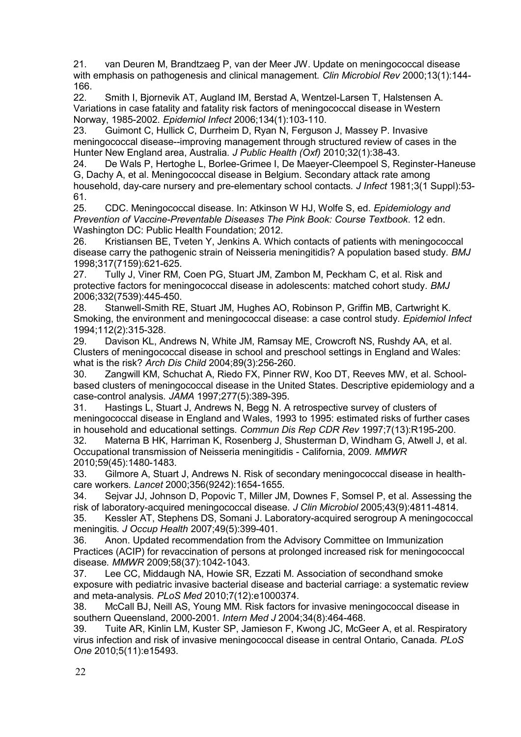<span id="page-21-0"></span>21. van Deuren M, Brandtzaeg P, van der Meer JW. Update on meningococcal disease with emphasis on pathogenesis and clinical management*. Clin Microbiol Rev* 2000;13(1):144- 166.

<span id="page-21-1"></span>22. Smith I, Bjornevik AT, Augland IM, Berstad A, Wentzel-Larsen T, Halstensen A. Variations in case fatality and fatality risk factors of meningococcal disease in Western Norway, 1985-2002*. Epidemiol Infect* 2006;134(1):103-110.

<span id="page-21-2"></span>23. Guimont C, Hullick C, Durrheim D, Ryan N, Ferguson J, Massey P. Invasive meningococcal disease--improving management through structured review of cases in the Hunter New England area, Australia*. J Public Health (Oxf)* 2010;32(1):38-43.

<span id="page-21-3"></span>24. De Wals P, Hertoghe L, Borlee-Grimee I, De Maeyer-Cleempoel S, Reginster-Haneuse G, Dachy A, et al. Meningococcal disease in Belgium. Secondary attack rate among household, day-care nursery and pre-elementary school contacts*. J Infect* 1981;3(1 Suppl):53- 61.<br>25.

<span id="page-21-4"></span>25. CDC. Meningococcal disease. In: Atkinson W HJ, Wolfe S, ed. *Epidemiology and Prevention of Vaccine-Preventable Diseases The Pink Book: Course Textbook*. 12 edn. Washington DC: Public Health Foundation; 2012.

<span id="page-21-5"></span>26. Kristiansen BE, Tveten Y, Jenkins A. Which contacts of patients with meningococcal disease carry the pathogenic strain of Neisseria meningitidis? A population based study*. BMJ* 1998;317(7159):621-625.

<span id="page-21-6"></span>27. Tully J, Viner RM, Coen PG, Stuart JM, Zambon M, Peckham C, et al. Risk and protective factors for meningococcal disease in adolescents: matched cohort study*. BMJ* 2006;332(7539):445-450.

<span id="page-21-7"></span>28. Stanwell-Smith RE, Stuart JM, Hughes AO, Robinson P, Griffin MB, Cartwright K. Smoking, the environment and meningococcal disease: a case control study*. Epidemiol Infect* 1994;112(2):315-328.

<span id="page-21-8"></span>29. Davison KL, Andrews N, White JM, Ramsay ME, Crowcroft NS, Rushdy AA, et al. Clusters of meningococcal disease in school and preschool settings in England and Wales: what is the risk? *Arch Dis Child* 2004;89(3):256-260.

<span id="page-21-9"></span>30. Zangwill KM, Schuchat A, Riedo FX, Pinner RW, Koo DT, Reeves MW, et al. Schoolbased clusters of meningococcal disease in the United States. Descriptive epidemiology and a case-control analysis*. JAMA* 1997;277(5):389-395.

<span id="page-21-10"></span>31. Hastings L, Stuart J, Andrews N, Begg N. A retrospective survey of clusters of meningococcal disease in England and Wales, 1993 to 1995: estimated risks of further cases in household and educational settings*. Commun Dis Rep CDR Rev* 1997;7(13):R195-200.

<span id="page-21-11"></span>32. Materna B HK, Harriman K, Rosenberg J, Shusterman D, Windham G, Atwell J, et al. Occupational transmission of Neisseria meningitidis - California, 2009*. MMWR*  2010;59(45):1480-1483.

<span id="page-21-12"></span>33. Gilmore A, Stuart J, Andrews N. Risk of secondary meningococcal disease in healthcare workers*. Lancet* 2000;356(9242):1654-1655.

<span id="page-21-13"></span>34. Sejvar JJ, Johnson D, Popovic T, Miller JM, Downes F, Somsel P, et al. Assessing the risk of laboratory-acquired meningococcal disease*. J Clin Microbiol* 2005;43(9):4811-4814.

<span id="page-21-14"></span>35. Kessler AT, Stephens DS, Somani J. Laboratory-acquired serogroup A meningococcal meningitis*. J Occup Health* 2007;49(5):399-401.

<span id="page-21-15"></span>36. Anon. Updated recommendation from the Advisory Committee on Immunization Practices (ACIP) for revaccination of persons at prolonged increased risk for meningococcal disease*. MMWR* 2009;58(37):1042-1043.

<span id="page-21-16"></span>37. Lee CC, Middaugh NA, Howie SR, Ezzati M. Association of secondhand smoke exposure with pediatric invasive bacterial disease and bacterial carriage: a systematic review and meta-analysis*. PLoS Med* 2010;7(12):e1000374.

<span id="page-21-17"></span>38. McCall BJ, Neill AS, Young MM. Risk factors for invasive meningococcal disease in southern Queensland, 2000-2001*. Intern Med J* 2004;34(8):464-468.

<span id="page-21-18"></span>39. Tuite AR, Kinlin LM, Kuster SP, Jamieson F, Kwong JC, McGeer A, et al. Respiratory virus infection and risk of invasive meningococcal disease in central Ontario, Canada*. PLoS One* 2010;5(11):e15493.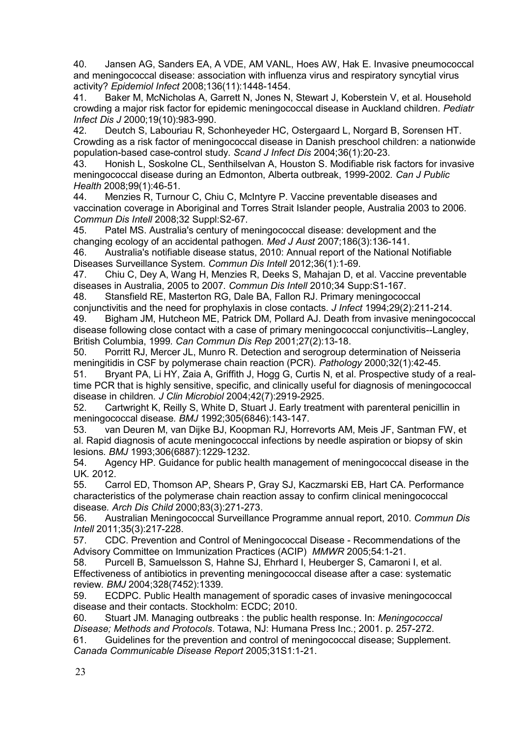<span id="page-22-0"></span>40. Jansen AG, Sanders EA, A VDE, AM VANL, Hoes AW, Hak E. Invasive pneumococcal and meningococcal disease: association with influenza virus and respiratory syncytial virus activity? *Epidemiol Infect* 2008;136(11):1448-1454.

<span id="page-22-1"></span>41. Baker M, McNicholas A, Garrett N, Jones N, Stewart J, Koberstein V, et al. Household crowding a major risk factor for epidemic meningococcal disease in Auckland children*. Pediatr Infect Dis J* 2000;19(10):983-990.

<span id="page-22-2"></span>42. Deutch S, Labouriau R, Schonheyeder HC, Ostergaard L, Norgard B, Sorensen HT. Crowding as a risk factor of meningococcal disease in Danish preschool children: a nationwide population-based case-control study*. Scand J Infect Dis* 2004;36(1):20-23.

<span id="page-22-3"></span>43. Honish L, Soskolne CL, Senthilselvan A, Houston S. Modifiable risk factors for invasive meningococcal disease during an Edmonton, Alberta outbreak, 1999-2002*. Can J Public Health* 2008;99(1):46-51.

<span id="page-22-4"></span>44. Menzies R, Turnour C, Chiu C, McIntyre P. Vaccine preventable diseases and vaccination coverage in Aboriginal and Torres Strait Islander people, Australia 2003 to 2006*. Commun Dis Intell* 2008;32 Suppl:S2-67.

<span id="page-22-5"></span>45. Patel MS. Australia's century of meningococcal disease: development and the changing ecology of an accidental pathogen*. Med J Aust* 2007;186(3):136-141.

<span id="page-22-6"></span>46. Australia's notifiable disease status, 2010: Annual report of the National Notifiable Diseases Surveillance System*. Commun Dis Intell* 2012;36(1):1-69.

<span id="page-22-7"></span>47. Chiu C, Dey A, Wang H, Menzies R, Deeks S, Mahajan D, et al. Vaccine preventable diseases in Australia, 2005 to 2007*. Commun Dis Intell* 2010;34 Supp:S1-167.

<span id="page-22-9"></span><span id="page-22-8"></span>48. Stansfield RE, Masterton RG, Dale BA, Fallon RJ. Primary meningococcal conjunctivitis and the need for prophylaxis in close contacts*. J Infect* 1994;29(2):211-214. 49. Bigham JM, Hutcheon ME, Patrick DM, Pollard AJ. Death from invasive meningococcal disease following close contact with a case of primary meningococcal conjunctivitis--Langley,

British Columbia, 1999*. Can Commun Dis Rep* 2001;27(2):13-18. 50. Porritt RJ, Mercer JL, Munro R. Detection and serogroup determination of Neisseria

<span id="page-22-10"></span>meningitidis in CSF by polymerase chain reaction (PCR)*. Pathology* 2000;32(1):42-45.

<span id="page-22-11"></span>51. Bryant PA, Li HY, Zaia A, Griffith J, Hogg G, Curtis N, et al. Prospective study of a realtime PCR that is highly sensitive, specific, and clinically useful for diagnosis of meningococcal disease in children*. J Clin Microbiol* 2004;42(7):2919-2925.

<span id="page-22-12"></span>52. Cartwright K, Reilly S, White D, Stuart J. Early treatment with parenteral penicillin in meningococcal disease*. BMJ* 1992;305(6846):143-147.

<span id="page-22-13"></span>53. van Deuren M, van Dijke BJ, Koopman RJ, Horrevorts AM, Meis JF, Santman FW, et al. Rapid diagnosis of acute meningococcal infections by needle aspiration or biopsy of skin lesions*. BMJ* 1993;306(6887):1229-1232.

<span id="page-22-14"></span>54. Agency HP. Guidance for public health management of meningococcal disease in the UK*.* 2012.

<span id="page-22-15"></span>55. Carrol ED, Thomson AP, Shears P, Gray SJ, Kaczmarski EB, Hart CA. Performance characteristics of the polymerase chain reaction assay to confirm clinical meningococcal disease*. Arch Dis Child* 2000;83(3):271-273.

<span id="page-22-16"></span>56. Australian Meningococcal Surveillance Programme annual report, 2010*. Commun Dis Intell* 2011;35(3):217-228.

<span id="page-22-17"></span>57. CDC. Prevention and Control of Meningococcal Disease - Recommendations of the Advisory Committee on Immunization Practices (ACIP) *MMWR* 2005;54:1-21.

<span id="page-22-18"></span>58. Purcell B, Samuelsson S, Hahne SJ, Ehrhard I, Heuberger S, Camaroni I, et al. Effectiveness of antibiotics in preventing meningococcal disease after a case: systematic review*. BMJ* 2004;328(7452):1339.

<span id="page-22-19"></span>59. ECDPC. Public Health management of sporadic cases of invasive meningococcal disease and their contacts. Stockholm: ECDC; 2010.

<span id="page-22-20"></span>60. Stuart JM. Managing outbreaks : the public health response. In: *Meningococcal Disease; Methods and Protocols*. Totawa, NJ: Humana Press Inc.; 2001. p. 257-272.

<span id="page-22-21"></span>61. Guidelines for the prevention and control of meningococcal disease; Supplement*. Canada Communicable Disease Report* 2005;31S1:1-21.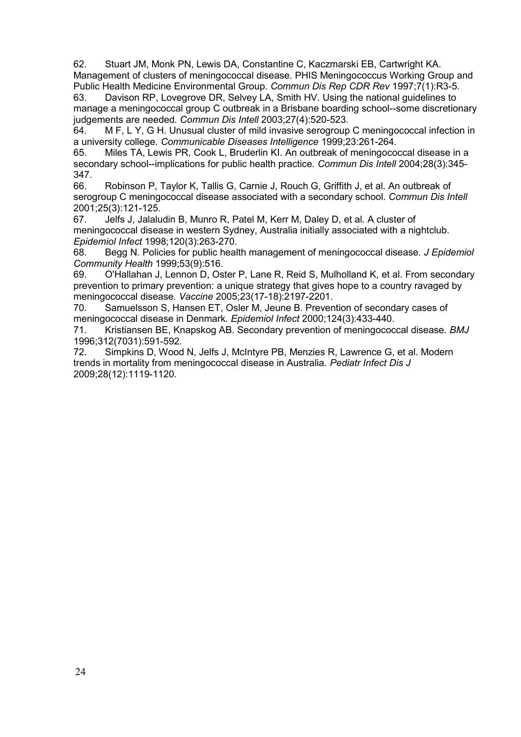<span id="page-23-0"></span>62. Stuart JM, Monk PN, Lewis DA, Constantine C, Kaczmarski EB, Cartwright KA. Management of clusters of meningococcal disease. PHIS Meningococcus Working Group and Public Health Medicine Environmental Group*. Commun Dis Rep CDR Rev* 1997;7(1):R3-5.

<span id="page-23-1"></span>63. Davison RP, Lovegrove DR, Selvey LA, Smith HV. Using the national guidelines to manage a meningococcal group C outbreak in a Brisbane boarding school--some discretionary judgements are needed*. Commun Dis Intell* 2003;27(4):520-523.

<span id="page-23-2"></span>64. M F, L Y, G H. Unusual cluster of mild invasive serogroup C meningococcal infection in a university college*. Communicable Diseases Intelligence* 1999;23:261-264.

<span id="page-23-3"></span>65. Miles TA, Lewis PR, Cook L, Bruderlin KI. An outbreak of meningococcal disease in a secondary school--implications for public health practice*. Commun Dis Intell* 2004;28(3):345- 347.

<span id="page-23-4"></span>66. Robinson P, Taylor K, Tallis G, Carnie J, Rouch G, Griffith J, et al. An outbreak of serogroup C meningococcal disease associated with a secondary school*. Commun Dis Intell* 2001;25(3):121-125.

<span id="page-23-5"></span>67. Jelfs J, Jalaludin B, Munro R, Patel M, Kerr M, Daley D, et al. A cluster of meningococcal disease in western Sydney, Australia initially associated with a nightclub*. Epidemiol Infect* 1998;120(3):263-270.

<span id="page-23-6"></span>68. Begg N. Policies for public health management of meningococcal disease*. J Epidemiol Community Health* 1999;53(9):516.

<span id="page-23-7"></span>69. O'Hallahan J, Lennon D, Oster P, Lane R, Reid S, Mulholland K, et al. From secondary prevention to primary prevention: a unique strategy that gives hope to a country ravaged by meningococcal disease*. Vaccine* 2005;23(17-18):2197-2201.

<span id="page-23-8"></span>70. Samuelsson S, Hansen ET, Osler M, Jeune B. Prevention of secondary cases of meningococcal disease in Denmark*. Epidemiol Infect* 2000;124(3):433-440.

<span id="page-23-9"></span>71. Kristiansen BE, Knapskog AB. Secondary prevention of meningococcal disease*. BMJ* 1996;312(7031):591-592.

<span id="page-23-10"></span>72. Simpkins D, Wood N, Jelfs J, McIntyre PB, Menzies R, Lawrence G, et al. Modern trends in mortality from meningococcal disease in Australia*. Pediatr Infect Dis J* 2009;28(12):1119-1120.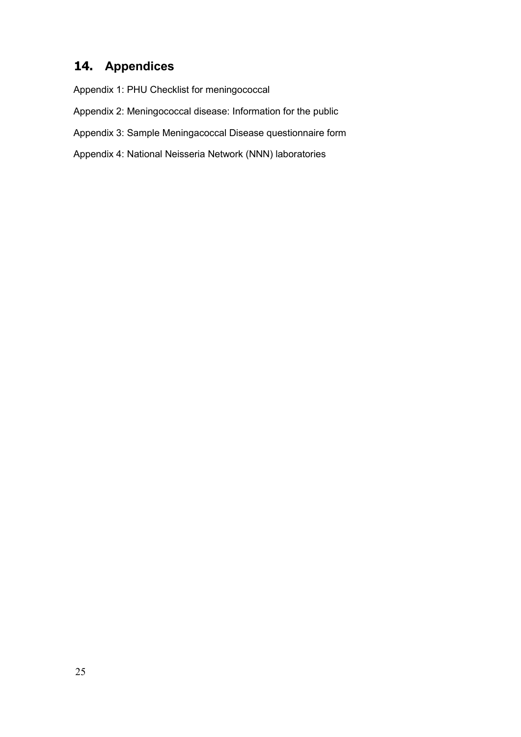## **14. Appendices**

[Appendix 1: PHU Checklist for meningococcal](#page-25-0)  Appendix 2: [Meningococcal disease: Information for the public](#page-26-0) [Appendix 3: Sample Meningacoccal Disease questionnaire form](#page-30-0)  [Appendix 4: National Neisseria Network \(NNN\) laboratories](#page-31-0)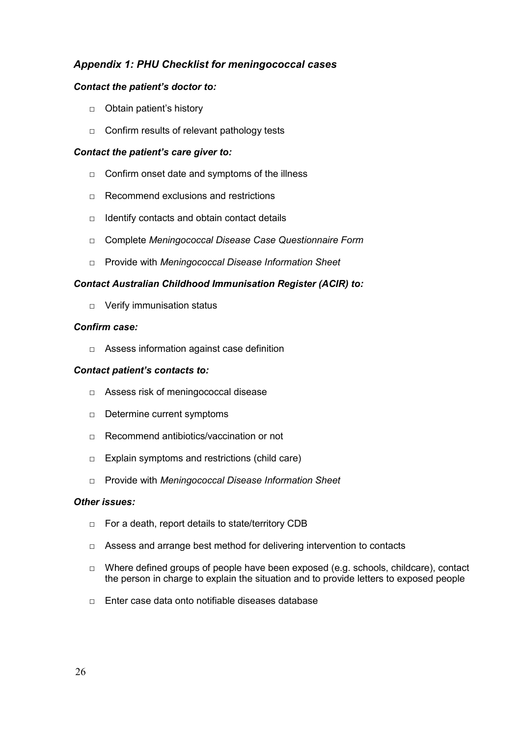## <span id="page-25-0"></span>*Appendix 1: PHU Checklist for meningococcal cases*

#### *Contact the patient's doctor to:*

- □ Obtain patient's history
- □ Confirm results of relevant pathology tests

#### *Contact the patient's care giver to:*

- $\Box$  Confirm onset date and symptoms of the illness
- □ Recommend exclusions and restrictions
- $\Box$  Identify contacts and obtain contact details
- □ Complete *Meningococcal Disease Case Questionnaire Form*
- □ Provide with *Meningococcal Disease Information Sheet*

#### *Contact Australian Childhood Immunisation Register (ACIR) to:*

□ Verify immunisation status

#### *Confirm case:*

□ Assess information against case definition

#### *Contact patient's contacts to:*

- □ Assess risk of meningococcal disease
- □ Determine current symptoms
- □ Recommend antibiotics/vaccination or not
- □ Explain symptoms and restrictions (child care)
- □ Provide with *Meningococcal Disease Information Sheet*

#### *Other issues:*

- □ For a death, report details to state/territory CDB
- □ Assess and arrange best method for delivering intervention to contacts
- □ Where defined groups of people have been exposed (e.g. schools, childcare), contact the person in charge to explain the situation and to provide letters to exposed people
- □ Enter case data onto notifiable diseases database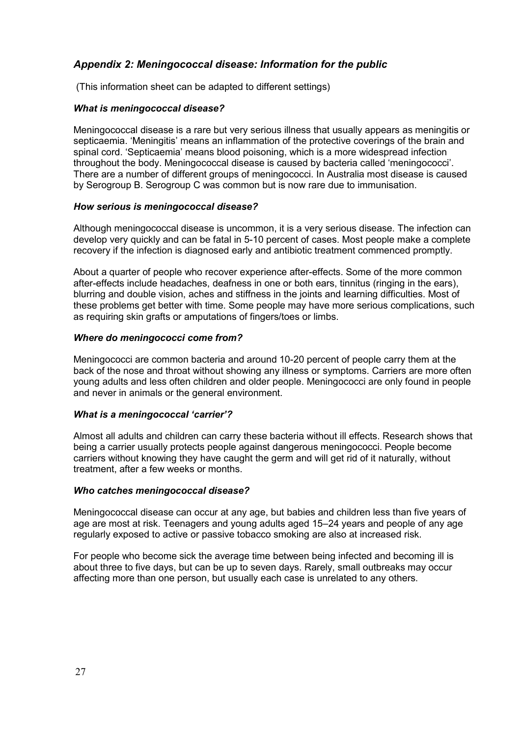## <span id="page-26-0"></span>*Appendix 2: Meningococcal disease: Information for the public*

(This information sheet can be adapted to different settings)

#### *What is meningococcal disease?*

Meningococcal disease is a rare but very serious illness that usually appears as meningitis or septicaemia. 'Meningitis' means an inflammation of the protective coverings of the brain and spinal cord. 'Septicaemia' means blood poisoning, which is a more widespread infection throughout the body. Meningococcal disease is caused by bacteria called 'meningococci'. There are a number of different groups of meningococci. In Australia most disease is caused by Serogroup B. Serogroup C was common but is now rare due to immunisation.

#### *How serious is meningococcal disease?*

Although meningococcal disease is uncommon, it is a very serious disease. The infection can develop very quickly and can be fatal in 5-10 percent of cases. Most people make a complete recovery if the infection is diagnosed early and antibiotic treatment commenced promptly.

About a quarter of people who recover experience after-effects. Some of the more common after-effects include headaches, deafness in one or both ears, tinnitus (ringing in the ears), blurring and double vision, aches and stiffness in the joints and learning difficulties. Most of these problems get better with time. Some people may have more serious complications, such as requiring skin grafts or amputations of fingers/toes or limbs.

#### *Where do meningococci come from?*

Meningococci are common bacteria and around 10-20 percent of people carry them at the back of the nose and throat without showing any illness or symptoms. Carriers are more often young adults and less often children and older people. Meningococci are only found in people and never in animals or the general environment.

#### *What is a meningococcal 'carrier'?*

Almost all adults and children can carry these bacteria without ill effects. Research shows that being a carrier usually protects people against dangerous meningococci. People become carriers without knowing they have caught the germ and will get rid of it naturally, without treatment, after a few weeks or months.

#### *Who catches meningococcal disease?*

Meningococcal disease can occur at any age, but babies and children less than five years of age are most at risk. Teenagers and young adults aged 15–24 years and people of any age regularly exposed to active or passive tobacco smoking are also at increased risk.

For people who become sick the average time between being infected and becoming ill is about three to five days, but can be up to seven days. Rarely, small outbreaks may occur affecting more than one person, but usually each case is unrelated to any others.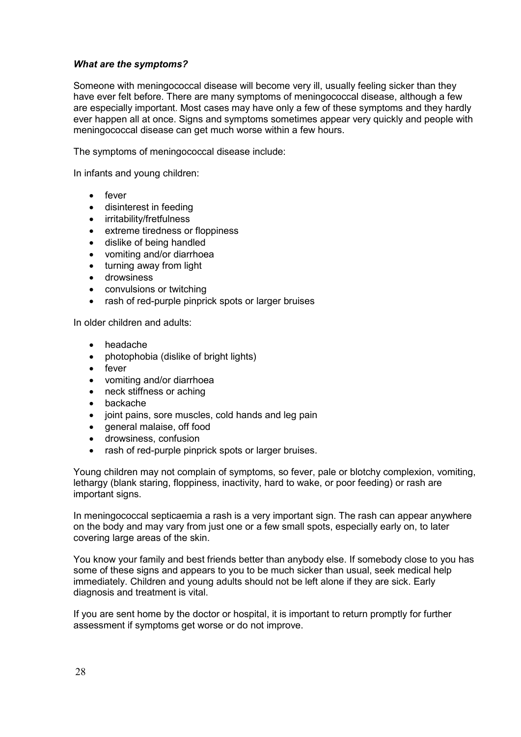#### *What are the symptoms?*

Someone with meningococcal disease will become very ill, usually feeling sicker than they have ever felt before. There are many symptoms of meningococcal disease, although a few are especially important. Most cases may have only a few of these symptoms and they hardly ever happen all at once. Signs and symptoms sometimes appear very quickly and people with meningococcal disease can get much worse within a few hours.

The symptoms of meningococcal disease include:

In infants and young children:

- $\bullet$  fever
- disinterest in feeding
- irritability/fretfulness
- extreme tiredness or floppiness
- dislike of being handled
- vomiting and/or diarrhoea
- turning away from light
- drowsiness
- convulsions or twitching
- rash of red-purple pinprick spots or larger bruises

In older children and adults:

- headache
- photophobia (dislike of bright lights)
- fever
- vomiting and/or diarrhoea
- neck stiffness or aching
- backache
- joint pains, sore muscles, cold hands and leg pain
- qeneral malaise, off food
- drowsiness, confusion
- rash of red-purple pinprick spots or larger bruises.

Young children may not complain of symptoms, so fever, pale or blotchy complexion, vomiting, lethargy (blank staring, floppiness, inactivity, hard to wake, or poor feeding) or rash are important signs.

In meningococcal septicaemia a rash is a very important sign. The rash can appear anywhere on the body and may vary from just one or a few small spots, especially early on, to later covering large areas of the skin.

You know your family and best friends better than anybody else. If somebody close to you has some of these signs and appears to you to be much sicker than usual, seek medical help immediately. Children and young adults should not be left alone if they are sick. Early diagnosis and treatment is vital.

If you are sent home by the doctor or hospital, it is important to return promptly for further assessment if symptoms get worse or do not improve.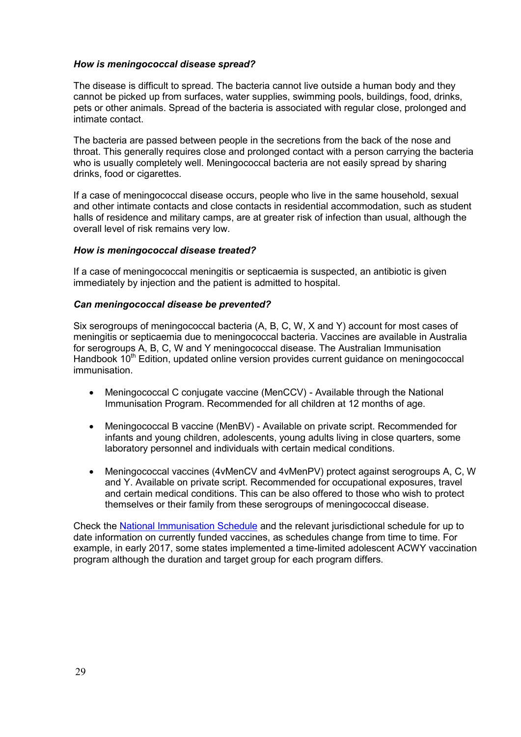#### *How is meningococcal disease spread?*

The disease is difficult to spread. The bacteria cannot live outside a human body and they cannot be picked up from surfaces, water supplies, swimming pools, buildings, food, drinks, pets or other animals. Spread of the bacteria is associated with regular close, prolonged and intimate contact.

The bacteria are passed between people in the secretions from the back of the nose and throat. This generally requires close and prolonged contact with a person carrying the bacteria who is usually completely well. Meningococcal bacteria are not easily spread by sharing drinks, food or cigarettes.

If a case of meningococcal disease occurs, people who live in the same household, sexual and other intimate contacts and close contacts in residential accommodation, such as student halls of residence and military camps, are at greater risk of infection than usual, although the overall level of risk remains very low.

#### *How is meningococcal disease treated?*

If a case of meningococcal meningitis or septicaemia is suspected, an antibiotic is given immediately by injection and the patient is admitted to hospital.

#### *Can meningococcal disease be prevented?*

Six serogroups of meningococcal bacteria (A, B, C, W, X and Y) account for most cases of meningitis or septicaemia due to meningococcal bacteria. Vaccines are available in Australia for serogroups A, B, C, W and Y meningococcal disease. The Australian Immunisation Handbook 10<sup>th</sup> Edition, updated online version provides current guidance on meningococcal immunisation.

- Meningococcal C conjugate vaccine (MenCCV) Available through the National Immunisation Program. Recommended for all children at 12 months of age.
- Meningococcal B vaccine (MenBV) Available on private script. Recommended for infants and young children, adolescents, young adults living in close quarters, some laboratory personnel and individuals with certain medical conditions.
- Meningococcal vaccines (4vMenCV and 4vMenPV) protect against serogroups A, C, W and Y. Available on private script. Recommended for occupational exposures, travel and certain medical conditions. This can be also offered to those who wish to protect themselves or their family from these serogroups of meningococcal disease.

Check the [National Immunisation Schedule](http://www.health.gov.au/internet/immunise/publishing.nsf/Content/national-immunisation-program-schedule) and the relevant jurisdictional schedule for up to date information on currently funded vaccines, as schedules change from time to time. For example, in early 2017, some states implemented a time-limited adolescent ACWY vaccination program although the duration and target group for each program differs.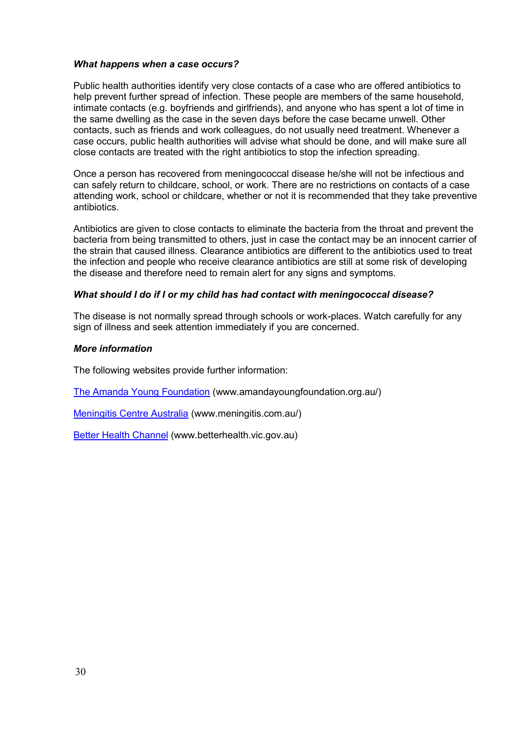#### *What happens when a case occurs?*

Public health authorities identify very close contacts of a case who are offered antibiotics to help prevent further spread of infection. These people are members of the same household, intimate contacts (e.g. boyfriends and girlfriends), and anyone who has spent a lot of time in the same dwelling as the case in the seven days before the case became unwell. Other contacts, such as friends and work colleagues, do not usually need treatment. Whenever a case occurs, public health authorities will advise what should be done, and will make sure all close contacts are treated with the right antibiotics to stop the infection spreading.

Once a person has recovered from meningococcal disease he/she will not be infectious and can safely return to childcare, school, or work. There are no restrictions on contacts of a case attending work, school or childcare, whether or not it is recommended that they take preventive antibiotics.

Antibiotics are given to close contacts to eliminate the bacteria from the throat and prevent the bacteria from being transmitted to others, just in case the contact may be an innocent carrier of the strain that caused illness. Clearance antibiotics are different to the antibiotics used to treat the infection and people who receive clearance antibiotics are still at some risk of developing the disease and therefore need to remain alert for any signs and symptoms.

#### *What should I do if I or my child has had contact with meningococcal disease?*

The disease is not normally spread through schools or work-places. Watch carefully for any sign of illness and seek attention immediately if you are concerned.

#### *More information*

The following websites provide further information:

[The Amanda Young Foundation](http://www.amandayoungfoundation.org.au/) (www.amandayoungfoundation.org.au/)

[Meningitis Centre Australia](http://meningitis.com.au/) (www.meningitis.com.au/)

[Better Health Channel](https://www.betterhealth.vic.gov.au/) (www.betterhealth.vic.gov.au)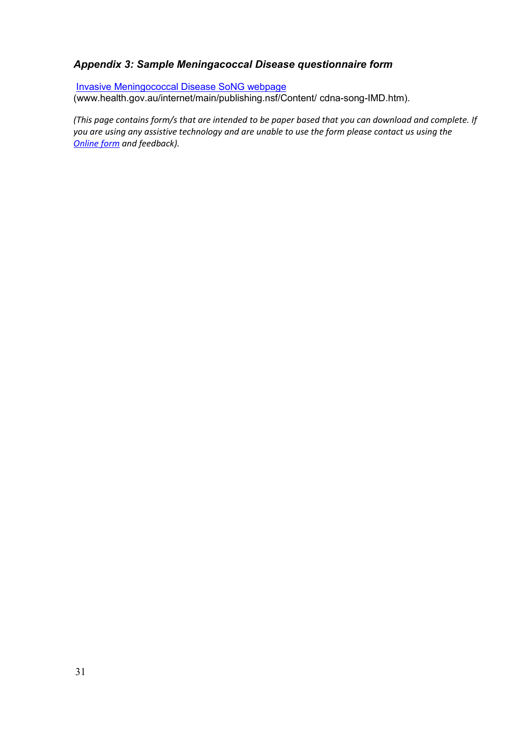## <span id="page-30-0"></span>*Appendix 3: Sample Meningacoccal Disease questionnaire form*

**[Invasive Meningococcal Disease SoNG webpage](http://www.health.gov.au/internet/main/publishing.nsf/Content/cdna-song-IMD.htm)** (www.health.gov.au/internet/main/publishing.nsf/Content/ cdna-song-IMD.htm).

*(This page contains form/s that are intended to be paper based that you can download and complete. If you are using any assistive technology and are unable to use the form please contact us using the [Online form](http://www.health.gov.au/internet/main/publishing.nsf/Content/health-comments.htm) and feedback).*